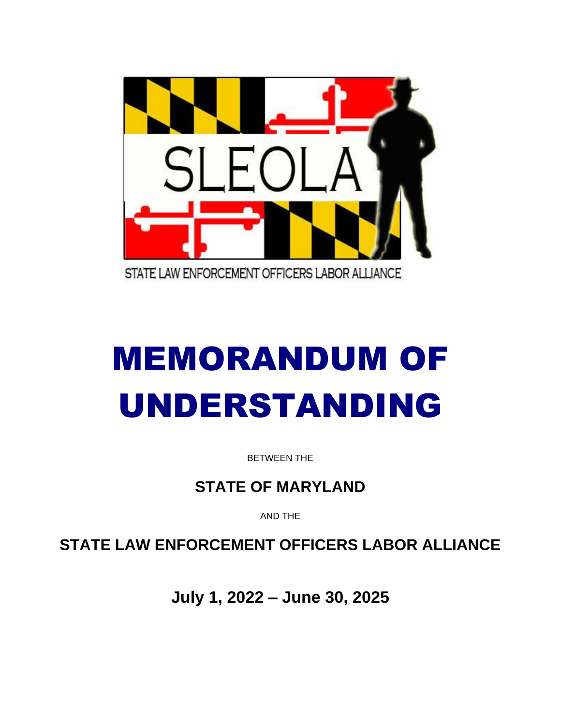

# MEMORANDUM OF UNDERSTANDING

BETWEEN THE

**STATE OF MARYLAND**

AND THE

**STATE LAW ENFORCEMENT OFFICERS LABOR ALLIANCE**

**July 1, 2022 – June 30, 2025**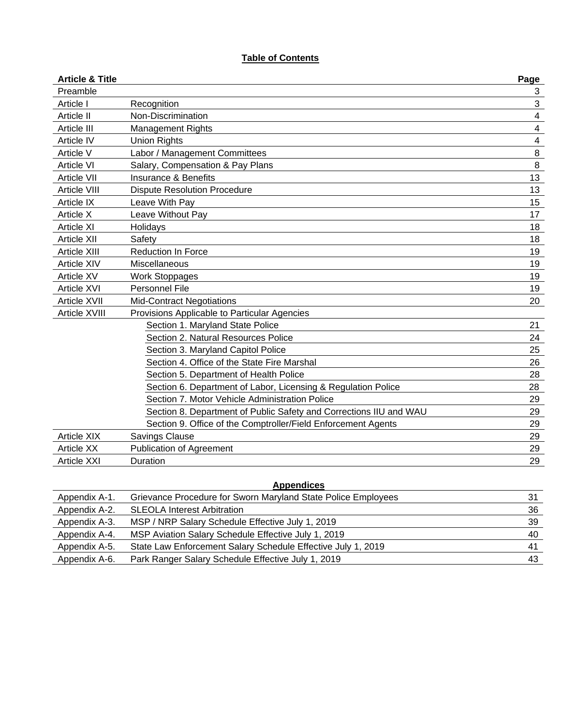# **Table of Contents**

| <b>Article &amp; Title</b> |                                                                    | Page                    |
|----------------------------|--------------------------------------------------------------------|-------------------------|
| Preamble                   |                                                                    | 3                       |
| Article I                  | Recognition                                                        | 3                       |
| Article II                 | Non-Discrimination                                                 | $\overline{\mathbf{4}}$ |
| Article III                | <b>Management Rights</b>                                           | 4                       |
| Article IV                 | <b>Union Rights</b>                                                | $\overline{\mathbf{4}}$ |
| Article V                  | Labor / Management Committees                                      | $\, 8$                  |
| <b>Article VI</b>          | Salary, Compensation & Pay Plans                                   | $\, 8$                  |
| <b>Article VII</b>         | <b>Insurance &amp; Benefits</b>                                    | 13                      |
| <b>Article VIII</b>        | <b>Dispute Resolution Procedure</b>                                | 13                      |
| Article IX                 | Leave With Pay                                                     | 15                      |
| Article X                  | Leave Without Pay                                                  | 17                      |
| <b>Article XI</b>          | Holidays                                                           | 18                      |
| <b>Article XII</b>         | Safety                                                             | 18                      |
| Article XIII               | <b>Reduction In Force</b>                                          | 19                      |
| Article XIV                | Miscellaneous                                                      | 19                      |
| <b>Article XV</b>          | <b>Work Stoppages</b>                                              | 19                      |
| <b>Article XVI</b>         | Personnel File                                                     | 19                      |
| Article XVII               | <b>Mid-Contract Negotiations</b>                                   | 20                      |
| Article XVIII              | Provisions Applicable to Particular Agencies                       |                         |
|                            | Section 1. Maryland State Police                                   | 21                      |
|                            | Section 2. Natural Resources Police                                | 24                      |
|                            | Section 3. Maryland Capitol Police                                 | 25                      |
|                            | Section 4. Office of the State Fire Marshal                        | 26                      |
|                            | Section 5. Department of Health Police                             | 28                      |
|                            | Section 6. Department of Labor, Licensing & Regulation Police      | 28                      |
|                            | Section 7. Motor Vehicle Administration Police                     | 29                      |
|                            | Section 8. Department of Public Safety and Corrections IIU and WAU | 29                      |
|                            | Section 9. Office of the Comptroller/Field Enforcement Agents      | 29                      |
| <b>Article XIX</b>         | <b>Savings Clause</b>                                              | 29                      |
| <b>Article XX</b>          | Publication of Agreement                                           | 29                      |
| <b>Article XXI</b>         | Duration                                                           | 29                      |

| <b>Appendices</b> |                                                               |    |
|-------------------|---------------------------------------------------------------|----|
| Appendix A-1.     | Grievance Procedure for Sworn Maryland State Police Employees | 31 |
| Appendix A-2.     | <b>SLEOLA Interest Arbitration</b>                            | 36 |
| Appendix A-3.     | MSP / NRP Salary Schedule Effective July 1, 2019              | 39 |
| Appendix A-4.     | MSP Aviation Salary Schedule Effective July 1, 2019           | 40 |
| Appendix A-5.     | State Law Enforcement Salary Schedule Effective July 1, 2019  | 41 |
| Appendix A-6.     | Park Ranger Salary Schedule Effective July 1, 2019            | 43 |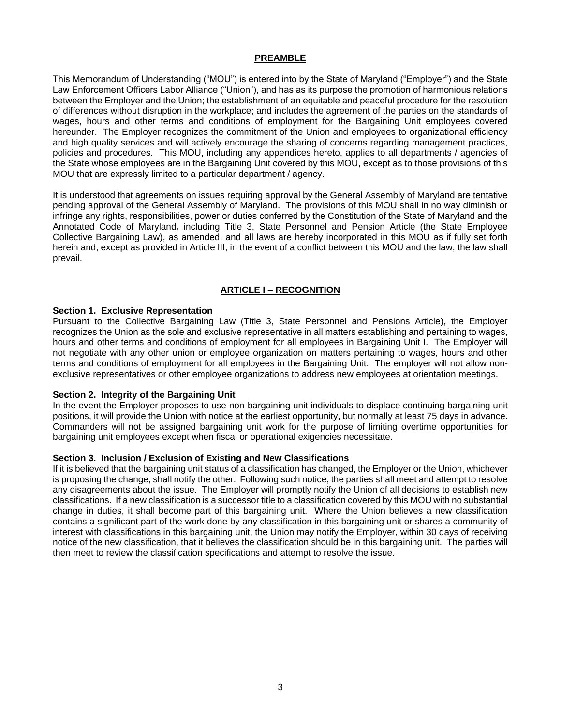## **PREAMBLE**

This Memorandum of Understanding ("MOU") is entered into by the State of Maryland ("Employer") and the State Law Enforcement Officers Labor Alliance ("Union"), and has as its purpose the promotion of harmonious relations between the Employer and the Union; the establishment of an equitable and peaceful procedure for the resolution of differences without disruption in the workplace; and includes the agreement of the parties on the standards of wages, hours and other terms and conditions of employment for the Bargaining Unit employees covered hereunder. The Employer recognizes the commitment of the Union and employees to organizational efficiency and high quality services and will actively encourage the sharing of concerns regarding management practices, policies and procedures. This MOU, including any appendices hereto, applies to all departments / agencies of the State whose employees are in the Bargaining Unit covered by this MOU, except as to those provisions of this MOU that are expressly limited to a particular department / agency.

It is understood that agreements on issues requiring approval by the General Assembly of Maryland are tentative pending approval of the General Assembly of Maryland. The provisions of this MOU shall in no way diminish or infringe any rights, responsibilities, power or duties conferred by the Constitution of the State of Maryland and the Annotated Code of Maryland*,* including Title 3, State Personnel and Pension Article (the State Employee Collective Bargaining Law), as amended, and all laws are hereby incorporated in this MOU as if fully set forth herein and, except as provided in Article III, in the event of a conflict between this MOU and the law, the law shall prevail.

# **ARTICLE I – RECOGNITION**

#### **Section 1. Exclusive Representation**

Pursuant to the Collective Bargaining Law (Title 3, State Personnel and Pensions Article), the Employer recognizes the Union as the sole and exclusive representative in all matters establishing and pertaining to wages, hours and other terms and conditions of employment for all employees in Bargaining Unit I. The Employer will not negotiate with any other union or employee organization on matters pertaining to wages, hours and other terms and conditions of employment for all employees in the Bargaining Unit. The employer will not allow nonexclusive representatives or other employee organizations to address new employees at orientation meetings.

## **Section 2. Integrity of the Bargaining Unit**

In the event the Employer proposes to use non-bargaining unit individuals to displace continuing bargaining unit positions, it will provide the Union with notice at the earliest opportunity, but normally at least 75 days in advance. Commanders will not be assigned bargaining unit work for the purpose of limiting overtime opportunities for bargaining unit employees except when fiscal or operational exigencies necessitate.

# **Section 3. Inclusion / Exclusion of Existing and New Classifications**

If it is believed that the bargaining unit status of a classification has changed, the Employer or the Union, whichever is proposing the change, shall notify the other. Following such notice, the parties shall meet and attempt to resolve any disagreements about the issue. The Employer will promptly notify the Union of all decisions to establish new classifications. If a new classification is a successor title to a classification covered by this MOU with no substantial change in duties, it shall become part of this bargaining unit. Where the Union believes a new classification contains a significant part of the work done by any classification in this bargaining unit or shares a community of interest with classifications in this bargaining unit, the Union may notify the Employer, within 30 days of receiving notice of the new classification, that it believes the classification should be in this bargaining unit. The parties will then meet to review the classification specifications and attempt to resolve the issue.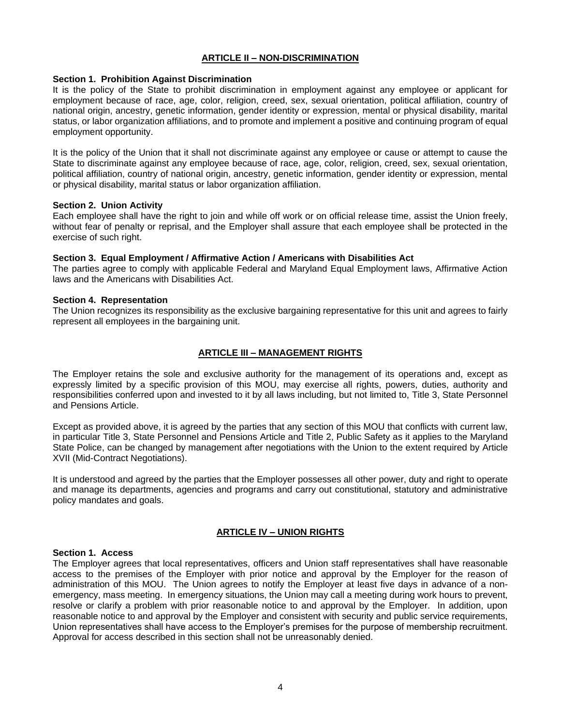# **ARTICLE II – NON-DISCRIMINATION**

#### **Section 1. Prohibition Against Discrimination**

It is the policy of the State to prohibit discrimination in employment against any employee or applicant for employment because of race, age, color, religion, creed, sex, sexual orientation, political affiliation, country of national origin, ancestry, genetic information, gender identity or expression, mental or physical disability, marital status, or labor organization affiliations, and to promote and implement a positive and continuing program of equal employment opportunity.

It is the policy of the Union that it shall not discriminate against any employee or cause or attempt to cause the State to discriminate against any employee because of race, age, color, religion, creed, sex, sexual orientation, political affiliation, country of national origin, ancestry, genetic information, gender identity or expression, mental or physical disability, marital status or labor organization affiliation.

#### **Section 2. Union Activity**

Each employee shall have the right to join and while off work or on official release time, assist the Union freely, without fear of penalty or reprisal, and the Employer shall assure that each employee shall be protected in the exercise of such right.

#### **Section 3. Equal Employment / Affirmative Action / Americans with Disabilities Act**

The parties agree to comply with applicable Federal and Maryland Equal Employment laws, Affirmative Action laws and the Americans with Disabilities Act.

#### **Section 4. Representation**

The Union recognizes its responsibility as the exclusive bargaining representative for this unit and agrees to fairly represent all employees in the bargaining unit.

## **ARTICLE III – MANAGEMENT RIGHTS**

The Employer retains the sole and exclusive authority for the management of its operations and, except as expressly limited by a specific provision of this MOU, may exercise all rights, powers, duties, authority and responsibilities conferred upon and invested to it by all laws including, but not limited to, Title 3, State Personnel and Pensions Article.

Except as provided above, it is agreed by the parties that any section of this MOU that conflicts with current law, in particular Title 3, State Personnel and Pensions Article and Title 2, Public Safety as it applies to the Maryland State Police, can be changed by management after negotiations with the Union to the extent required by Article XVII (Mid-Contract Negotiations).

It is understood and agreed by the parties that the Employer possesses all other power, duty and right to operate and manage its departments, agencies and programs and carry out constitutional, statutory and administrative policy mandates and goals.

## **ARTICLE IV – UNION RIGHTS**

#### **Section 1. Access**

The Employer agrees that local representatives, officers and Union staff representatives shall have reasonable access to the premises of the Employer with prior notice and approval by the Employer for the reason of administration of this MOU. The Union agrees to notify the Employer at least five days in advance of a nonemergency, mass meeting. In emergency situations, the Union may call a meeting during work hours to prevent, resolve or clarify a problem with prior reasonable notice to and approval by the Employer. In addition, upon reasonable notice to and approval by the Employer and consistent with security and public service requirements, Union representatives shall have access to the Employer's premises for the purpose of membership recruitment. Approval for access described in this section shall not be unreasonably denied.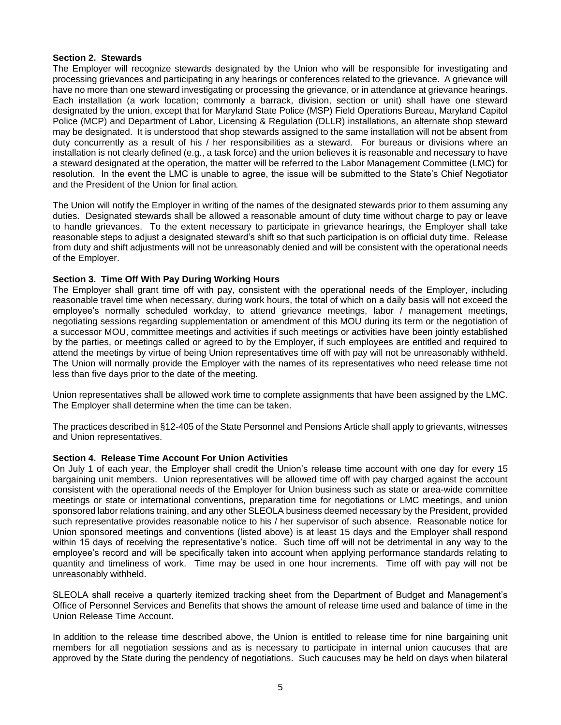# **Section 2. Stewards**

The Employer will recognize stewards designated by the Union who will be responsible for investigating and processing grievances and participating in any hearings or conferences related to the grievance. A grievance will have no more than one steward investigating or processing the grievance, or in attendance at grievance hearings. Each installation (a work location; commonly a barrack, division, section or unit) shall have one steward designated by the union, except that for Maryland State Police (MSP) Field Operations Bureau, Maryland Capitol Police (MCP) and Department of Labor, Licensing & Regulation (DLLR) installations, an alternate shop steward may be designated. It is understood that shop stewards assigned to the same installation will not be absent from duty concurrently as a result of his / her responsibilities as a steward. For bureaus or divisions where an installation is not clearly defined (e.g., a task force) and the union believes it is reasonable and necessary to have a steward designated at the operation, the matter will be referred to the Labor Management Committee (LMC) for resolution. In the event the LMC is unable to agree, the issue will be submitted to the State's Chief Negotiator and the President of the Union for final action*.* 

The Union will notify the Employer in writing of the names of the designated stewards prior to them assuming any duties. Designated stewards shall be allowed a reasonable amount of duty time without charge to pay or leave to handle grievances. To the extent necessary to participate in grievance hearings, the Employer shall take reasonable steps to adjust a designated steward's shift so that such participation is on official duty time. Release from duty and shift adjustments will not be unreasonably denied and will be consistent with the operational needs of the Employer.

# **Section 3. Time Off With Pay During Working Hours**

The Employer shall grant time off with pay, consistent with the operational needs of the Employer, including reasonable travel time when necessary, during work hours, the total of which on a daily basis will not exceed the employee's normally scheduled workday, to attend grievance meetings, labor / management meetings, negotiating sessions regarding supplementation or amendment of this MOU during its term or the negotiation of a successor MOU, committee meetings and activities if such meetings or activities have been jointly established by the parties, or meetings called or agreed to by the Employer, if such employees are entitled and required to attend the meetings by virtue of being Union representatives time off with pay will not be unreasonably withheld. The Union will normally provide the Employer with the names of its representatives who need release time not less than five days prior to the date of the meeting.

Union representatives shall be allowed work time to complete assignments that have been assigned by the LMC. The Employer shall determine when the time can be taken.

The practices described in §12-405 of the State Personnel and Pensions Article shall apply to grievants, witnesses and Union representatives.

## **Section 4. Release Time Account For Union Activities**

On July 1 of each year, the Employer shall credit the Union's release time account with one day for every 15 bargaining unit members. Union representatives will be allowed time off with pay charged against the account consistent with the operational needs of the Employer for Union business such as state or area-wide committee meetings or state or international conventions, preparation time for negotiations or LMC meetings, and union sponsored labor relations training, and any other SLEOLA business deemed necessary by the President, provided such representative provides reasonable notice to his / her supervisor of such absence. Reasonable notice for Union sponsored meetings and conventions (listed above) is at least 15 days and the Employer shall respond within 15 days of receiving the representative's notice. Such time off will not be detrimental in any way to the employee's record and will be specifically taken into account when applying performance standards relating to quantity and timeliness of work. Time may be used in one hour increments. Time off with pay will not be unreasonably withheld.

SLEOLA shall receive a quarterly itemized tracking sheet from the Department of Budget and Management's Office of Personnel Services and Benefits that shows the amount of release time used and balance of time in the Union Release Time Account.

In addition to the release time described above, the Union is entitled to release time for nine bargaining unit members for all negotiation sessions and as is necessary to participate in internal union caucuses that are approved by the State during the pendency of negotiations. Such caucuses may be held on days when bilateral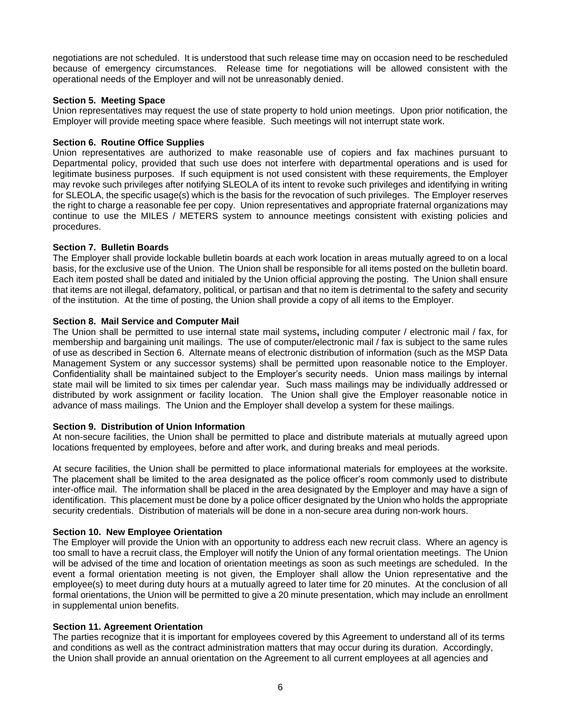negotiations are not scheduled. It is understood that such release time may on occasion need to be rescheduled because of emergency circumstances. Release time for negotiations will be allowed consistent with the operational needs of the Employer and will not be unreasonably denied.

# **Section 5. Meeting Space**

Union representatives may request the use of state property to hold union meetings. Upon prior notification, the Employer will provide meeting space where feasible. Such meetings will not interrupt state work.

# **Section 6. Routine Office Supplies**

Union representatives are authorized to make reasonable use of copiers and fax machines pursuant to Departmental policy, provided that such use does not interfere with departmental operations and is used for legitimate business purposes. If such equipment is not used consistent with these requirements, the Employer may revoke such privileges after notifying SLEOLA of its intent to revoke such privileges and identifying in writing for SLEOLA, the specific usage(s) which is the basis for the revocation of such privileges. The Employer reserves the right to charge a reasonable fee per copy. Union representatives and appropriate fraternal organizations may continue to use the MILES / METERS system to announce meetings consistent with existing policies and procedures.

# **Section 7. Bulletin Boards**

The Employer shall provide lockable bulletin boards at each work location in areas mutually agreed to on a local basis, for the exclusive use of the Union. The Union shall be responsible for all items posted on the bulletin board. Each item posted shall be dated and initialed by the Union official approving the posting. The Union shall ensure that items are not illegal, defamatory, political, or partisan and that no item is detrimental to the safety and security of the institution. At the time of posting, the Union shall provide a copy of all items to the Employer.

# **Section 8. Mail Service and Computer Mail**

The Union shall be permitted to use internal state mail systems**,** including computer / electronic mail / fax, for membership and bargaining unit mailings. The use of computer/electronic mail / fax is subject to the same rules of use as described in Section 6. Alternate means of electronic distribution of information (such as the MSP Data Management System or any successor systems) shall be permitted upon reasonable notice to the Employer. Confidentiality shall be maintained subject to the Employer's security needs. Union mass mailings by internal state mail will be limited to six times per calendar year. Such mass mailings may be individually addressed or distributed by work assignment or facility location. The Union shall give the Employer reasonable notice in advance of mass mailings. The Union and the Employer shall develop a system for these mailings.

## **Section 9. Distribution of Union Information**

At non-secure facilities, the Union shall be permitted to place and distribute materials at mutually agreed upon locations frequented by employees, before and after work, and during breaks and meal periods.

At secure facilities, the Union shall be permitted to place informational materials for employees at the worksite. The placement shall be limited to the area designated as the police officer's room commonly used to distribute inter-office mail. The information shall be placed in the area designated by the Employer and may have a sign of identification. This placement must be done by a police officer designated by the Union who holds the appropriate security credentials. Distribution of materials will be done in a non-secure area during non-work hours.

# **Section 10. New Employee Orientation**

The Employer will provide the Union with an opportunity to address each new recruit class. Where an agency is too small to have a recruit class, the Employer will notify the Union of any formal orientation meetings. The Union will be advised of the time and location of orientation meetings as soon as such meetings are scheduled. In the event a formal orientation meeting is not given, the Employer shall allow the Union representative and the employee(s) to meet during duty hours at a mutually agreed to later time for 20 minutes. At the conclusion of all formal orientations, the Union will be permitted to give a 20 minute presentation, which may include an enrollment in supplemental union benefits.

## **Section 11. Agreement Orientation**

The parties recognize that it is important for employees covered by this Agreement to understand all of its terms and conditions as well as the contract administration matters that may occur during its duration. Accordingly, the Union shall provide an annual orientation on the Agreement to all current employees at all agencies and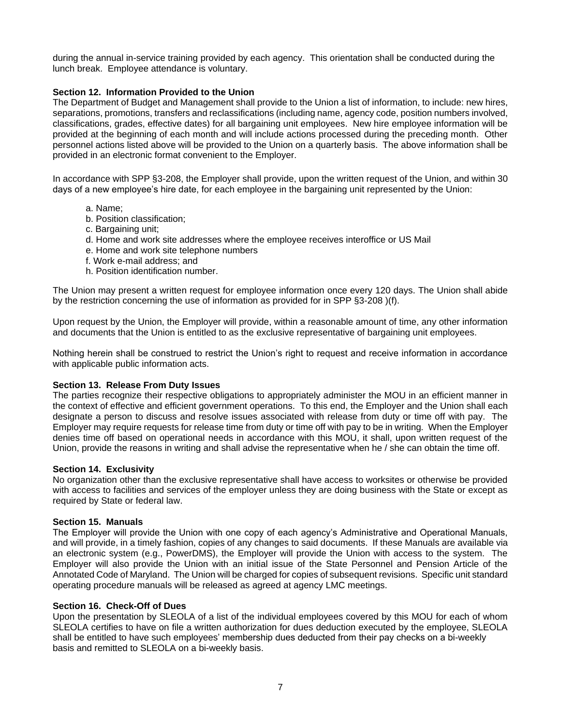during the annual in-service training provided by each agency. This orientation shall be conducted during the lunch break. Employee attendance is voluntary.

# **Section 12. Information Provided to the Union**

The Department of Budget and Management shall provide to the Union a list of information, to include: new hires, separations, promotions, transfers and reclassifications (including name, agency code, position numbers involved, classifications, grades, effective dates) for all bargaining unit employees. New hire employee information will be provided at the beginning of each month and will include actions processed during the preceding month. Other personnel actions listed above will be provided to the Union on a quarterly basis. The above information shall be provided in an electronic format convenient to the Employer.

In accordance with SPP §3-208, the Employer shall provide, upon the written request of the Union, and within 30 days of a new employee's hire date, for each employee in the bargaining unit represented by the Union:

- a. Name;
- b. Position classification;
- c. Bargaining unit;
- d. Home and work site addresses where the employee receives interoffice or US Mail
- e. Home and work site telephone numbers
- f. Work e-mail address; and
- h. Position identification number.

The Union may present a written request for employee information once every 120 days. The Union shall abide by the restriction concerning the use of information as provided for in SPP §3-208 )(f).

Upon request by the Union, the Employer will provide, within a reasonable amount of time, any other information and documents that the Union is entitled to as the exclusive representative of bargaining unit employees.

Nothing herein shall be construed to restrict the Union's right to request and receive information in accordance with applicable public information acts.

## **Section 13. Release From Duty Issues**

The parties recognize their respective obligations to appropriately administer the MOU in an efficient manner in the context of effective and efficient government operations. To this end, the Employer and the Union shall each designate a person to discuss and resolve issues associated with release from duty or time off with pay. The Employer may require requests for release time from duty or time off with pay to be in writing*.* When the Employer denies time off based on operational needs in accordance with this MOU, it shall, upon written request of the Union, provide the reasons in writing and shall advise the representative when he / she can obtain the time off.

## **Section 14. Exclusivity**

No organization other than the exclusive representative shall have access to worksites or otherwise be provided with access to facilities and services of the employer unless they are doing business with the State or except as required by State or federal law.

## **Section 15. Manuals**

The Employer will provide the Union with one copy of each agency's Administrative and Operational Manuals, and will provide, in a timely fashion, copies of any changes to said documents. If these Manuals are available via an electronic system (e.g., PowerDMS), the Employer will provide the Union with access to the system. The Employer will also provide the Union with an initial issue of the State Personnel and Pension Article of the Annotated Code of Maryland. The Union will be charged for copies of subsequent revisions. Specific unit standard operating procedure manuals will be released as agreed at agency LMC meetings.

## **Section 16. Check-Off of Dues**

Upon the presentation by SLEOLA of a list of the individual employees covered by this MOU for each of whom SLEOLA certifies to have on file a written authorization for dues deduction executed by the employee, SLEOLA shall be entitled to have such employees' membership dues deducted from their pay checks on a bi-weekly basis and remitted to SLEOLA on a bi-weekly basis.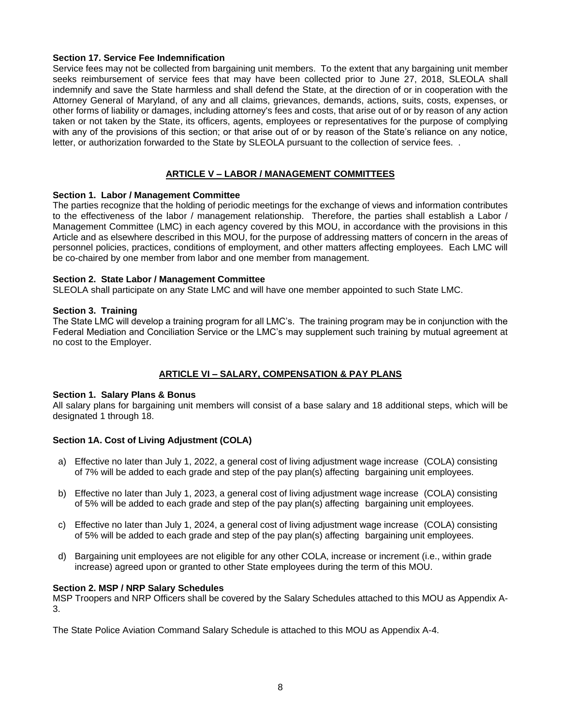# **Section 17. Service Fee Indemnification**

Service fees may not be collected from bargaining unit members. To the extent that any bargaining unit member seeks reimbursement of service fees that may have been collected prior to June 27, 2018, SLEOLA shall indemnify and save the State harmless and shall defend the State, at the direction of or in cooperation with the Attorney General of Maryland, of any and all claims, grievances, demands, actions, suits, costs, expenses, or other forms of liability or damages, including attorney's fees and costs, that arise out of or by reason of any action taken or not taken by the State, its officers, agents, employees or representatives for the purpose of complying with any of the provisions of this section; or that arise out of or by reason of the State's reliance on any notice, letter, or authorization forwarded to the State by SLEOLA pursuant to the collection of service fees. .

# **ARTICLE V – LABOR / MANAGEMENT COMMITTEES**

## **Section 1. Labor / Management Committee**

The parties recognize that the holding of periodic meetings for the exchange of views and information contributes to the effectiveness of the labor / management relationship. Therefore, the parties shall establish a Labor / Management Committee (LMC) in each agency covered by this MOU, in accordance with the provisions in this Article and as elsewhere described in this MOU, for the purpose of addressing matters of concern in the areas of personnel policies, practices, conditions of employment, and other matters affecting employees. Each LMC will be co-chaired by one member from labor and one member from management.

# **Section 2. State Labor / Management Committee**

SLEOLA shall participate on any State LMC and will have one member appointed to such State LMC.

# **Section 3. Training**

The State LMC will develop a training program for all LMC's. The training program may be in conjunction with the Federal Mediation and Conciliation Service or the LMC's may supplement such training by mutual agreement at no cost to the Employer.

# **ARTICLE VI – SALARY, COMPENSATION & PAY PLANS**

## **Section 1. Salary Plans & Bonus**

All salary plans for bargaining unit members will consist of a base salary and 18 additional steps, which will be designated 1 through 18.

# **Section 1A. Cost of Living Adjustment (COLA)**

- a) Effective no later than July 1, 2022, a general cost of living adjustment wage increase (COLA) consisting of 7% will be added to each grade and step of the pay plan(s) affecting bargaining unit employees.
- b) Effective no later than July 1, 2023, a general cost of living adjustment wage increase (COLA) consisting of 5% will be added to each grade and step of the pay plan(s) affecting bargaining unit employees.
- c) Effective no later than July 1, 2024, a general cost of living adjustment wage increase (COLA) consisting of 5% will be added to each grade and step of the pay plan(s) affecting bargaining unit employees.
- d) Bargaining unit employees are not eligible for any other COLA, increase or increment (i.e., within grade increase) agreed upon or granted to other State employees during the term of this MOU.

## **Section 2. MSP / NRP Salary Schedules**

MSP Troopers and NRP Officers shall be covered by the Salary Schedules attached to this MOU as Appendix A-3.

The State Police Aviation Command Salary Schedule is attached to this MOU as Appendix A-4.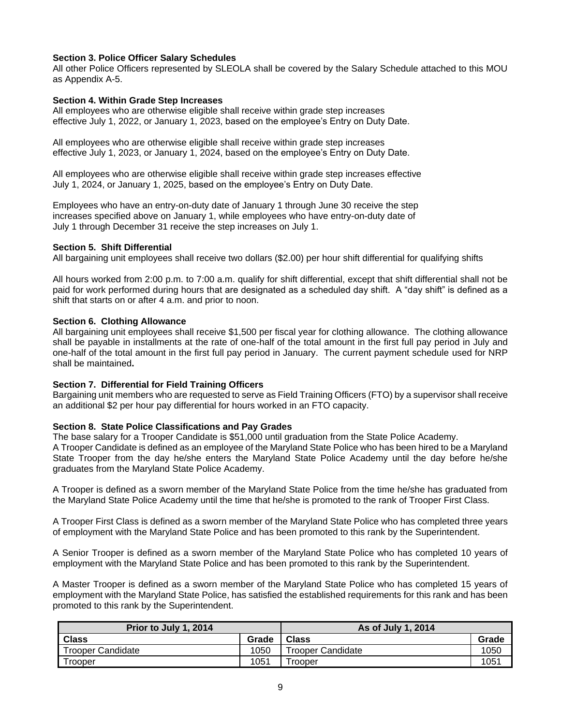# **Section 3. Police Officer Salary Schedules**

All other Police Officers represented by SLEOLA shall be covered by the Salary Schedule attached to this MOU as Appendix A-5.

# **Section 4. Within Grade Step Increases**

All employees who are otherwise eligible shall receive within grade step increases effective July 1, 2022, or January 1, 2023, based on the employee's Entry on Duty Date.

All employees who are otherwise eligible shall receive within grade step increases effective July 1, 2023, or January 1, 2024, based on the employee's Entry on Duty Date.

All employees who are otherwise eligible shall receive within grade step increases effective July 1, 2024, or January 1, 2025, based on the employee's Entry on Duty Date.

Employees who have an entry-on-duty date of January 1 through June 30 receive the step increases specified above on January 1, while employees who have entry-on-duty date of July 1 through December 31 receive the step increases on July 1.

## **Section 5. Shift Differential**

All bargaining unit employees shall receive two dollars (\$2.00) per hour shift differential for qualifying shifts

All hours worked from 2:00 p.m. to 7:00 a.m. qualify for shift differential, except that shift differential shall not be paid for work performed during hours that are designated as a scheduled day shift. A "day shift" is defined as a shift that starts on or after 4 a.m. and prior to noon.

# **Section 6. Clothing Allowance**

All bargaining unit employees shall receive \$1,500 per fiscal year for clothing allowance. The clothing allowance shall be payable in installments at the rate of one-half of the total amount in the first full pay period in July and one-half of the total amount in the first full pay period in January. The current payment schedule used for NRP shall be maintained**.**

## **Section 7. Differential for Field Training Officers**

Bargaining unit members who are requested to serve as Field Training Officers (FTO) by a supervisor shall receive an additional \$2 per hour pay differential for hours worked in an FTO capacity.

## **Section 8. State Police Classifications and Pay Grades**

The base salary for a Trooper Candidate is \$51,000 until graduation from the State Police Academy.

A Trooper Candidate is defined as an employee of the Maryland State Police who has been hired to be a Maryland State Trooper from the day he/she enters the Maryland State Police Academy until the day before he/she graduates from the Maryland State Police Academy.

A Trooper is defined as a sworn member of the Maryland State Police from the time he/she has graduated from the Maryland State Police Academy until the time that he/she is promoted to the rank of Trooper First Class.

A Trooper First Class is defined as a sworn member of the Maryland State Police who has completed three years of employment with the Maryland State Police and has been promoted to this rank by the Superintendent.

A Senior Trooper is defined as a sworn member of the Maryland State Police who has completed 10 years of employment with the Maryland State Police and has been promoted to this rank by the Superintendent.

A Master Trooper is defined as a sworn member of the Maryland State Police who has completed 15 years of employment with the Maryland State Police, has satisfied the established requirements for this rank and has been promoted to this rank by the Superintendent.

| Prior to July 1, 2014    |       | As of July 1, 2014       |       |
|--------------------------|-------|--------------------------|-------|
| <b>Class</b>             | Grade | <b>Class</b>             | Grade |
| <b>Trooper Candidate</b> | 1050  | <b>Trooper Candidate</b> | 1050  |
| Trooper                  | 1051  | <b>rooper</b>            | 1051  |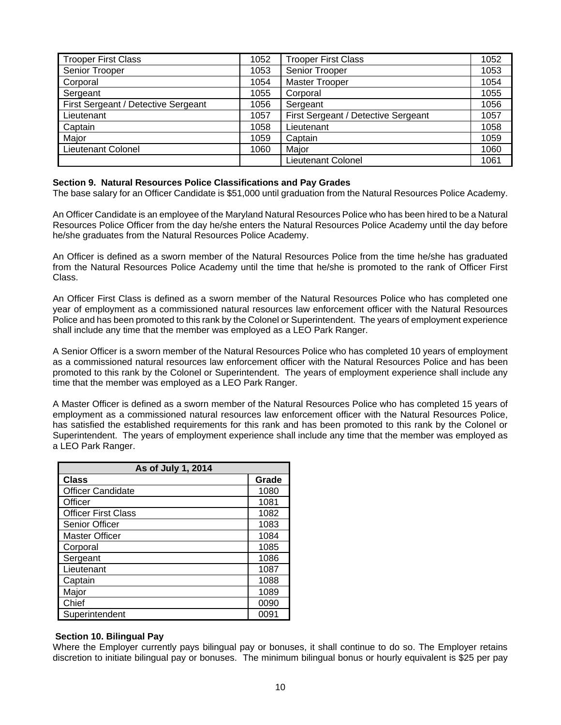| <b>Trooper First Class</b>          | 1052 | <b>Trooper First Class</b>          | 1052 |
|-------------------------------------|------|-------------------------------------|------|
| Senior Trooper                      | 1053 | Senior Trooper                      | 1053 |
| Corporal                            | 1054 | <b>Master Trooper</b>               | 1054 |
| Sergeant                            | 1055 | Corporal                            | 1055 |
| First Sergeant / Detective Sergeant | 1056 | Sergeant                            | 1056 |
| Lieutenant                          | 1057 | First Sergeant / Detective Sergeant | 1057 |
| Captain                             | 1058 | Lieutenant                          | 1058 |
| Major                               | 1059 | Captain                             | 1059 |
| <b>Lieutenant Colonel</b>           | 1060 | Major                               | 1060 |
|                                     |      | <b>Lieutenant Colonel</b>           | 1061 |

## **Section 9. Natural Resources Police Classifications and Pay Grades**

The base salary for an Officer Candidate is \$51,000 until graduation from the Natural Resources Police Academy.

An Officer Candidate is an employee of the Maryland Natural Resources Police who has been hired to be a Natural Resources Police Officer from the day he/she enters the Natural Resources Police Academy until the day before he/she graduates from the Natural Resources Police Academy.

An Officer is defined as a sworn member of the Natural Resources Police from the time he/she has graduated from the Natural Resources Police Academy until the time that he/she is promoted to the rank of Officer First Class.

An Officer First Class is defined as a sworn member of the Natural Resources Police who has completed one year of employment as a commissioned natural resources law enforcement officer with the Natural Resources Police and has been promoted to this rank by the Colonel or Superintendent. The years of employment experience shall include any time that the member was employed as a LEO Park Ranger.

A Senior Officer is a sworn member of the Natural Resources Police who has completed 10 years of employment as a commissioned natural resources law enforcement officer with the Natural Resources Police and has been promoted to this rank by the Colonel or Superintendent. The years of employment experience shall include any time that the member was employed as a LEO Park Ranger.

A Master Officer is defined as a sworn member of the Natural Resources Police who has completed 15 years of employment as a commissioned natural resources law enforcement officer with the Natural Resources Police, has satisfied the established requirements for this rank and has been promoted to this rank by the Colonel or Superintendent. The years of employment experience shall include any time that the member was employed as a LEO Park Ranger.

| As of July 1, 2014         |       |  |
|----------------------------|-------|--|
| <b>Class</b>               | Grade |  |
| <b>Officer Candidate</b>   | 1080  |  |
| Officer                    | 1081  |  |
| <b>Officer First Class</b> | 1082  |  |
| Senior Officer             | 1083  |  |
| <b>Master Officer</b>      | 1084  |  |
| Corporal                   | 1085  |  |
| Sergeant                   | 1086  |  |
| Lieutenant                 | 1087  |  |
| Captain                    | 1088  |  |
| Major                      | 1089  |  |
| Chief                      | 0090  |  |
| Superintendent             | 0091  |  |

## **Section 10. Bilingual Pay**

Where the Employer currently pays bilingual pay or bonuses, it shall continue to do so. The Employer retains discretion to initiate bilingual pay or bonuses. The minimum bilingual bonus or hourly equivalent is \$25 per pay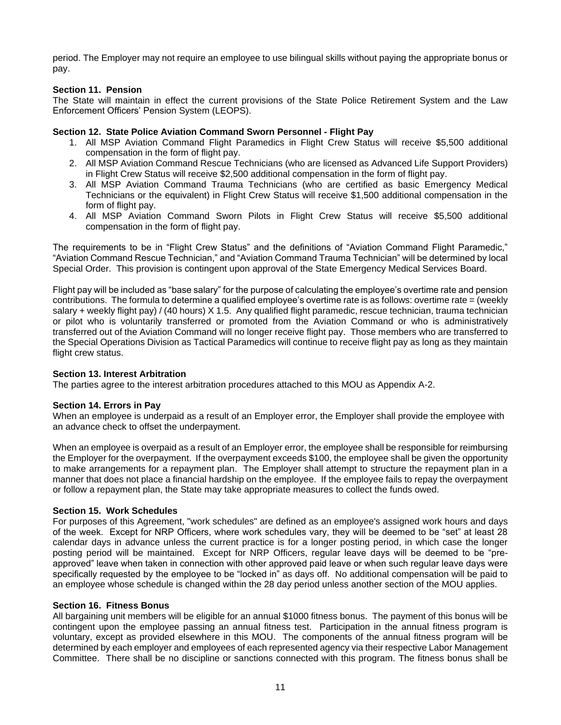period. The Employer may not require an employee to use bilingual skills without paying the appropriate bonus or pay.

# **Section 11. Pension**

The State will maintain in effect the current provisions of the State Police Retirement System and the Law Enforcement Officers' Pension System (LEOPS).

# **Section 12. State Police Aviation Command Sworn Personnel - Flight Pay**

- 1. All MSP Aviation Command Flight Paramedics in Flight Crew Status will receive \$5,500 additional compensation in the form of flight pay.
- 2. All MSP Aviation Command Rescue Technicians (who are licensed as Advanced Life Support Providers) in Flight Crew Status will receive \$2,500 additional compensation in the form of flight pay.
- 3. All MSP Aviation Command Trauma Technicians (who are certified as basic Emergency Medical Technicians or the equivalent) in Flight Crew Status will receive \$1,500 additional compensation in the form of flight pay.
- 4. All MSP Aviation Command Sworn Pilots in Flight Crew Status will receive \$5,500 additional compensation in the form of flight pay.

The requirements to be in "Flight Crew Status" and the definitions of "Aviation Command Flight Paramedic," "Aviation Command Rescue Technician," and "Aviation Command Trauma Technician" will be determined by local Special Order. This provision is contingent upon approval of the State Emergency Medical Services Board.

Flight pay will be included as "base salary" for the purpose of calculating the employee's overtime rate and pension contributions. The formula to determine a qualified employee's overtime rate is as follows: overtime rate = (weekly salary + weekly flight pay) / (40 hours) X 1.5. Any qualified flight paramedic, rescue technician, trauma technician or pilot who is voluntarily transferred or promoted from the Aviation Command or who is administratively transferred out of the Aviation Command will no longer receive flight pay. Those members who are transferred to the Special Operations Division as Tactical Paramedics will continue to receive flight pay as long as they maintain flight crew status.

## **Section 13. Interest Arbitration**

The parties agree to the interest arbitration procedures attached to this MOU as Appendix A-2.

## **Section 14. Errors in Pay**

When an employee is underpaid as a result of an Employer error, the Employer shall provide the employee with an advance check to offset the underpayment.

When an employee is overpaid as a result of an Employer error, the employee shall be responsible for reimbursing the Employer for the overpayment. If the overpayment exceeds \$100, the employee shall be given the opportunity to make arrangements for a repayment plan. The Employer shall attempt to structure the repayment plan in a manner that does not place a financial hardship on the employee. If the employee fails to repay the overpayment or follow a repayment plan, the State may take appropriate measures to collect the funds owed.

## **Section 15. Work Schedules**

For purposes of this Agreement, "work schedules" are defined as an employee's assigned work hours and days of the week. Except for NRP Officers, where work schedules vary, they will be deemed to be "set" at least 28 calendar days in advance unless the current practice is for a longer posting period, in which case the longer posting period will be maintained. Except for NRP Officers, regular leave days will be deemed to be "preapproved" leave when taken in connection with other approved paid leave or when such regular leave days were specifically requested by the employee to be "locked in" as days off. No additional compensation will be paid to an employee whose schedule is changed within the 28 day period unless another section of the MOU applies.

# **Section 16. Fitness Bonus**

All bargaining unit members will be eligible for an annual \$1000 fitness bonus. The payment of this bonus will be contingent upon the employee passing an annual fitness test. Participation in the annual fitness program is voluntary, except as provided elsewhere in this MOU. The components of the annual fitness program will be determined by each employer and employees of each represented agency via their respective Labor Management Committee. There shall be no discipline or sanctions connected with this program. The fitness bonus shall be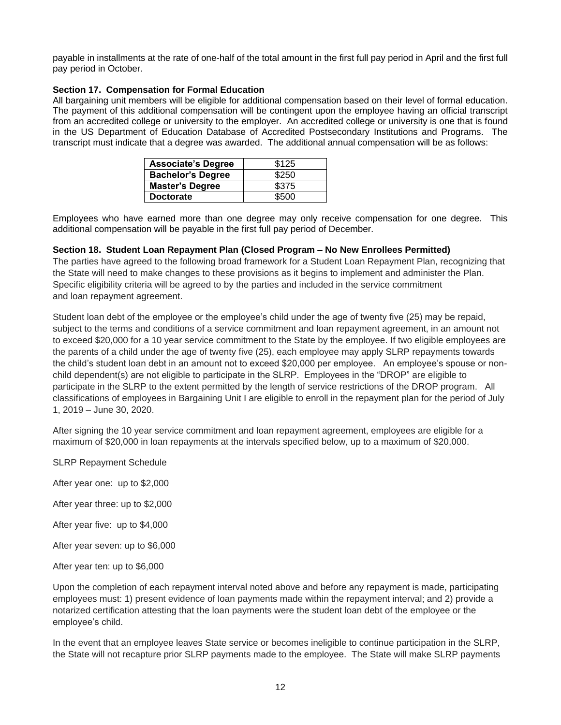payable in installments at the rate of one-half of the total amount in the first full pay period in April and the first full pay period in October.

# **Section 17. Compensation for Formal Education**

All bargaining unit members will be eligible for additional compensation based on their level of formal education. The payment of this additional compensation will be contingent upon the employee having an official transcript from an accredited college or university to the employer. An accredited college or university is one that is found in the US Department of Education Database of Accredited Postsecondary Institutions and Programs. The transcript must indicate that a degree was awarded. The additional annual compensation will be as follows:

| <b>Associate's Degree</b> | \$125 |
|---------------------------|-------|
| <b>Bachelor's Degree</b>  | \$250 |
| <b>Master's Degree</b>    | \$375 |
| <b>Doctorate</b>          | \$500 |

Employees who have earned more than one degree may only receive compensation for one degree. This additional compensation will be payable in the first full pay period of December.

# **Section 18. Student Loan Repayment Plan (Closed Program – No New Enrollees Permitted)**

The parties have agreed to the following broad framework for a Student Loan Repayment Plan, recognizing that the State will need to make changes to these provisions as it begins to implement and administer the Plan. Specific eligibility criteria will be agreed to by the parties and included in the service commitment and loan repayment agreement.

Student loan debt of the employee or the employee's child under the age of twenty five (25) may be repaid, subject to the terms and conditions of a service commitment and loan repayment agreement, in an amount not to exceed \$20,000 for a 10 year service commitment to the State by the employee. If two eligible employees are the parents of a child under the age of twenty five (25), each employee may apply SLRP repayments towards the child's student loan debt in an amount not to exceed \$20,000 per employee. An employee's spouse or nonchild dependent(s) are not eligible to participate in the SLRP. Employees in the "DROP" are eligible to participate in the SLRP to the extent permitted by the length of service restrictions of the DROP program. All classifications of employees in Bargaining Unit I are eligible to enroll in the repayment plan for the period of July 1, 2019 – June 30, 2020.

After signing the 10 year service commitment and loan repayment agreement, employees are eligible for a maximum of \$20,000 in loan repayments at the intervals specified below, up to a maximum of \$20,000.

SLRP Repayment Schedule

After year one: up to \$2,000

After year three: up to \$2,000

After year five: up to \$4,000

After year seven: up to \$6,000

After year ten: up to \$6,000

Upon the completion of each repayment interval noted above and before any repayment is made, participating employees must: 1) present evidence of loan payments made within the repayment interval; and 2) provide a notarized certification attesting that the loan payments were the student loan debt of the employee or the employee's child.

In the event that an employee leaves State service or becomes ineligible to continue participation in the SLRP, the State will not recapture prior SLRP payments made to the employee. The State will make SLRP payments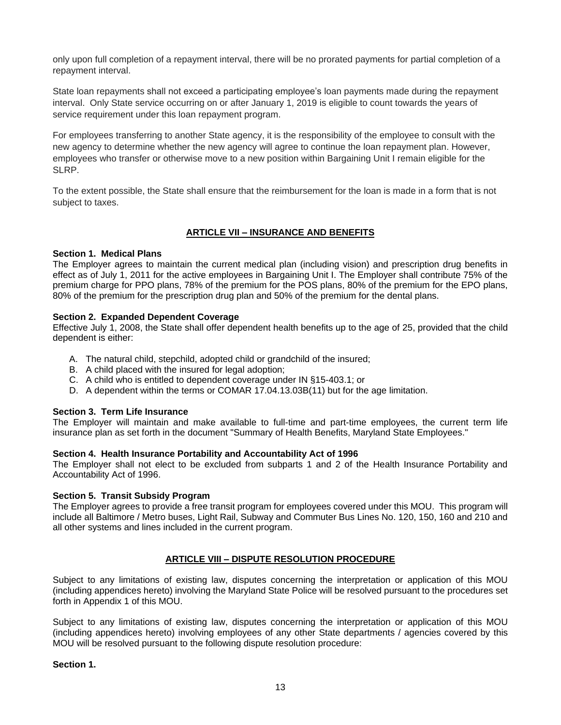only upon full completion of a repayment interval, there will be no prorated payments for partial completion of a repayment interval.

State loan repayments shall not exceed a participating employee's loan payments made during the repayment interval. Only State service occurring on or after January 1, 2019 is eligible to count towards the years of service requirement under this loan repayment program.

For employees transferring to another State agency, it is the responsibility of the employee to consult with the new agency to determine whether the new agency will agree to continue the loan repayment plan. However, employees who transfer or otherwise move to a new position within Bargaining Unit I remain eligible for the SLRP.

To the extent possible, the State shall ensure that the reimbursement for the loan is made in a form that is not subject to taxes.

# **ARTICLE VII – INSURANCE AND BENEFITS**

# **Section 1. Medical Plans**

The Employer agrees to maintain the current medical plan (including vision) and prescription drug benefits in effect as of July 1, 2011 for the active employees in Bargaining Unit I. The Employer shall contribute 75% of the premium charge for PPO plans, 78% of the premium for the POS plans, 80% of the premium for the EPO plans, 80% of the premium for the prescription drug plan and 50% of the premium for the dental plans.

# **Section 2. Expanded Dependent Coverage**

Effective July 1, 2008, the State shall offer dependent health benefits up to the age of 25, provided that the child dependent is either:

- A. The natural child, stepchild, adopted child or grandchild of the insured;
- B. A child placed with the insured for legal adoption:
- C. A child who is entitled to dependent coverage under IN §15-403.1; or
- D. A dependent within the terms or COMAR 17.04.13.03B(11) but for the age limitation.

## **Section 3. Term Life Insurance**

The Employer will maintain and make available to full-time and part-time employees, the current term life insurance plan as set forth in the document "Summary of Health Benefits, Maryland State Employees."

## **Section 4. Health Insurance Portability and Accountability Act of 1996**

The Employer shall not elect to be excluded from subparts 1 and 2 of the Health Insurance Portability and Accountability Act of 1996.

## **Section 5. Transit Subsidy Program**

The Employer agrees to provide a free transit program for employees covered under this MOU. This program will include all Baltimore / Metro buses, Light Rail, Subway and Commuter Bus Lines No. 120, 150, 160 and 210 and all other systems and lines included in the current program.

# **ARTICLE VIII – DISPUTE RESOLUTION PROCEDURE**

Subject to any limitations of existing law, disputes concerning the interpretation or application of this MOU (including appendices hereto) involving the Maryland State Police will be resolved pursuant to the procedures set forth in Appendix 1 of this MOU.

Subject to any limitations of existing law, disputes concerning the interpretation or application of this MOU (including appendices hereto) involving employees of any other State departments / agencies covered by this MOU will be resolved pursuant to the following dispute resolution procedure:

## **Section 1.**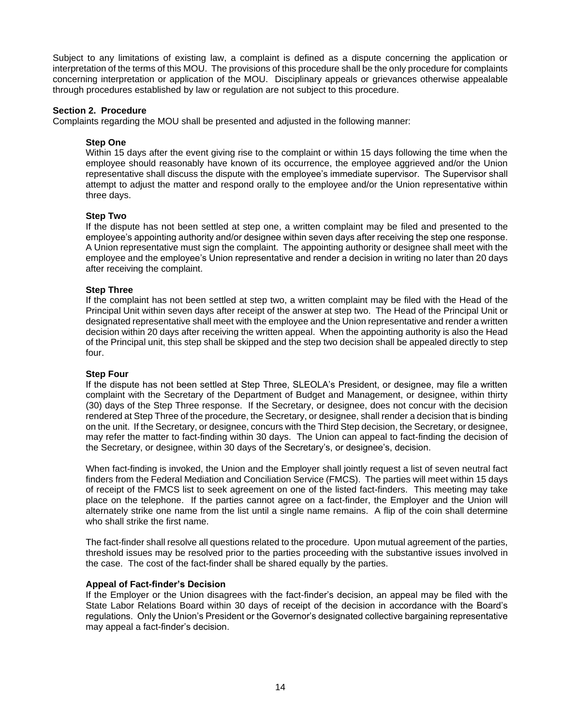Subject to any limitations of existing law, a complaint is defined as a dispute concerning the application or interpretation of the terms of this MOU. The provisions of this procedure shall be the only procedure for complaints concerning interpretation or application of the MOU. Disciplinary appeals or grievances otherwise appealable through procedures established by law or regulation are not subject to this procedure.

# **Section 2. Procedure**

Complaints regarding the MOU shall be presented and adjusted in the following manner:

# **Step One**

Within 15 days after the event giving rise to the complaint or within 15 days following the time when the employee should reasonably have known of its occurrence, the employee aggrieved and/or the Union representative shall discuss the dispute with the employee's immediate supervisor. The Supervisor shall attempt to adjust the matter and respond orally to the employee and/or the Union representative within three days.

# **Step Two**

If the dispute has not been settled at step one, a written complaint may be filed and presented to the employee's appointing authority and/or designee within seven days after receiving the step one response. A Union representative must sign the complaint. The appointing authority or designee shall meet with the employee and the employee's Union representative and render a decision in writing no later than 20 days after receiving the complaint.

# **Step Three**

If the complaint has not been settled at step two, a written complaint may be filed with the Head of the Principal Unit within seven days after receipt of the answer at step two. The Head of the Principal Unit or designated representative shall meet with the employee and the Union representative and render a written decision within 20 days after receiving the written appeal. When the appointing authority is also the Head of the Principal unit, this step shall be skipped and the step two decision shall be appealed directly to step four.

## **Step Four**

If the dispute has not been settled at Step Three, SLEOLA's President, or designee, may file a written complaint with the Secretary of the Department of Budget and Management, or designee, within thirty (30) days of the Step Three response. If the Secretary, or designee, does not concur with the decision rendered at Step Three of the procedure, the Secretary, or designee, shall render a decision that is binding on the unit. If the Secretary, or designee, concurs with the Third Step decision, the Secretary, or designee, may refer the matter to fact-finding within 30 days. The Union can appeal to fact-finding the decision of the Secretary, or designee, within 30 days of the Secretary's, or designee's, decision.

When fact-finding is invoked, the Union and the Employer shall jointly request a list of seven neutral fact finders from the Federal Mediation and Conciliation Service (FMCS). The parties will meet within 15 days of receipt of the FMCS list to seek agreement on one of the listed fact-finders. This meeting may take place on the telephone. If the parties cannot agree on a fact-finder, the Employer and the Union will alternately strike one name from the list until a single name remains. A flip of the coin shall determine who shall strike the first name.

The fact-finder shall resolve all questions related to the procedure. Upon mutual agreement of the parties, threshold issues may be resolved prior to the parties proceeding with the substantive issues involved in the case. The cost of the fact-finder shall be shared equally by the parties.

## **Appeal of Fact-finder's Decision**

If the Employer or the Union disagrees with the fact-finder's decision, an appeal may be filed with the State Labor Relations Board within 30 days of receipt of the decision in accordance with the Board's regulations. Only the Union's President or the Governor's designated collective bargaining representative may appeal a fact-finder's decision.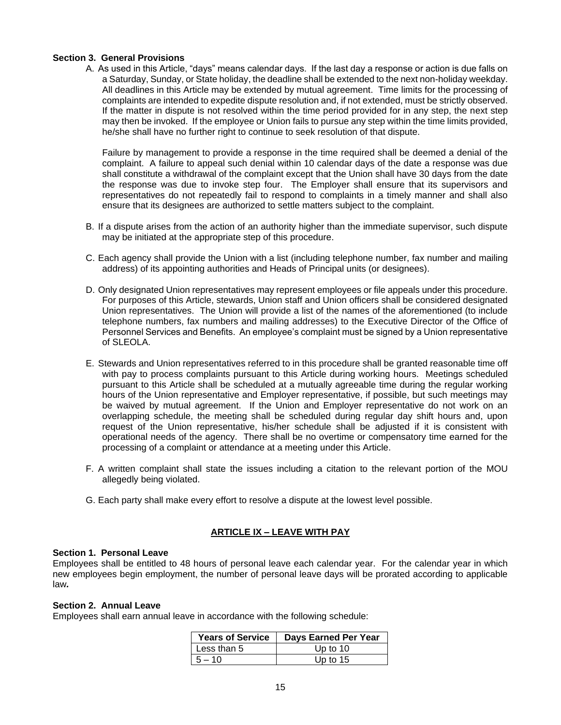# **Section 3. General Provisions**

A. As used in this Article, "days" means calendar days. If the last day a response or action is due falls on a Saturday, Sunday, or State holiday, the deadline shall be extended to the next non-holiday weekday. All deadlines in this Article may be extended by mutual agreement. Time limits for the processing of complaints are intended to expedite dispute resolution and, if not extended, must be strictly observed. If the matter in dispute is not resolved within the time period provided for in any step, the next step may then be invoked. If the employee or Union fails to pursue any step within the time limits provided, he/she shall have no further right to continue to seek resolution of that dispute.

Failure by management to provide a response in the time required shall be deemed a denial of the complaint. A failure to appeal such denial within 10 calendar days of the date a response was due shall constitute a withdrawal of the complaint except that the Union shall have 30 days from the date the response was due to invoke step four. The Employer shall ensure that its supervisors and representatives do not repeatedly fail to respond to complaints in a timely manner and shall also ensure that its designees are authorized to settle matters subject to the complaint.

- B. If a dispute arises from the action of an authority higher than the immediate supervisor, such dispute may be initiated at the appropriate step of this procedure.
- C. Each agency shall provide the Union with a list (including telephone number, fax number and mailing address) of its appointing authorities and Heads of Principal units (or designees).
- D. Only designated Union representatives may represent employees or file appeals under this procedure. For purposes of this Article, stewards, Union staff and Union officers shall be considered designated Union representatives. The Union will provide a list of the names of the aforementioned (to include telephone numbers, fax numbers and mailing addresses) to the Executive Director of the Office of Personnel Services and Benefits. An employee's complaint must be signed by a Union representative of SLEOLA.
- E. Stewards and Union representatives referred to in this procedure shall be granted reasonable time off with pay to process complaints pursuant to this Article during working hours. Meetings scheduled pursuant to this Article shall be scheduled at a mutually agreeable time during the regular working hours of the Union representative and Employer representative, if possible, but such meetings may be waived by mutual agreement. If the Union and Employer representative do not work on an overlapping schedule, the meeting shall be scheduled during regular day shift hours and, upon request of the Union representative, his/her schedule shall be adjusted if it is consistent with operational needs of the agency. There shall be no overtime or compensatory time earned for the processing of a complaint or attendance at a meeting under this Article.
- F. A written complaint shall state the issues including a citation to the relevant portion of the MOU allegedly being violated.
- G. Each party shall make every effort to resolve a dispute at the lowest level possible.

# **ARTICLE IX – LEAVE WITH PAY**

## **Section 1. Personal Leave**

Employees shall be entitled to 48 hours of personal leave each calendar year. For the calendar year in which new employees begin employment, the number of personal leave days will be prorated according to applicable law*.* 

# **Section 2. Annual Leave**

Employees shall earn annual leave in accordance with the following schedule:

| <b>Years of Service</b> | <b>Days Earned Per Year</b> |
|-------------------------|-----------------------------|
| Less than 5             | Up to $10$                  |
| $5 - 10$                | Up to $15$                  |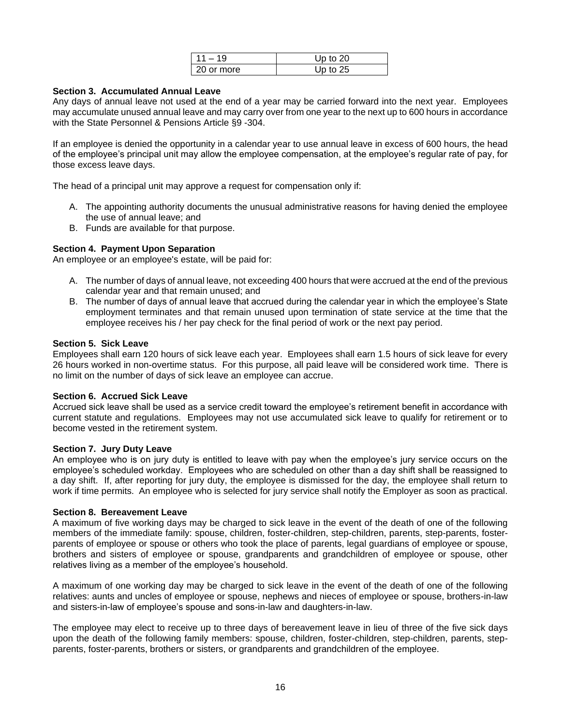| $11 - 19$    | Up to $20$ |
|--------------|------------|
| l 20 or more | Up to $25$ |

# **Section 3. Accumulated Annual Leave**

Any days of annual leave not used at the end of a year may be carried forward into the next year. Employees may accumulate unused annual leave and may carry over from one year to the next up to 600 hours in accordance with the State Personnel & Pensions Article §9 -304.

If an employee is denied the opportunity in a calendar year to use annual leave in excess of 600 hours, the head of the employee's principal unit may allow the employee compensation, at the employee's regular rate of pay, for those excess leave days.

The head of a principal unit may approve a request for compensation only if:

- A. The appointing authority documents the unusual administrative reasons for having denied the employee the use of annual leave; and
- B. Funds are available for that purpose.

# **Section 4. Payment Upon Separation**

An employee or an employee's estate, will be paid for:

- A. The number of days of annual leave, not exceeding 400 hours that were accrued at the end of the previous calendar year and that remain unused; and
- B. The number of days of annual leave that accrued during the calendar year in which the employee's State employment terminates and that remain unused upon termination of state service at the time that the employee receives his / her pay check for the final period of work or the next pay period.

## **Section 5. Sick Leave**

Employees shall earn 120 hours of sick leave each year. Employees shall earn 1.5 hours of sick leave for every 26 hours worked in non-overtime status. For this purpose, all paid leave will be considered work time. There is no limit on the number of days of sick leave an employee can accrue.

## **Section 6. Accrued Sick Leave**

Accrued sick leave shall be used as a service credit toward the employee's retirement benefit in accordance with current statute and regulations. Employees may not use accumulated sick leave to qualify for retirement or to become vested in the retirement system.

## **Section 7. Jury Duty Leave**

An employee who is on jury duty is entitled to leave with pay when the employee's jury service occurs on the employee's scheduled workday. Employees who are scheduled on other than a day shift shall be reassigned to a day shift. If, after reporting for jury duty, the employee is dismissed for the day, the employee shall return to work if time permits. An employee who is selected for jury service shall notify the Employer as soon as practical.

## **Section 8. Bereavement Leave**

A maximum of five working days may be charged to sick leave in the event of the death of one of the following members of the immediate family: spouse, children, foster-children, step-children, parents, step-parents, fosterparents of employee or spouse or others who took the place of parents, legal guardians of employee or spouse, brothers and sisters of employee or spouse, grandparents and grandchildren of employee or spouse, other relatives living as a member of the employee's household.

A maximum of one working day may be charged to sick leave in the event of the death of one of the following relatives: aunts and uncles of employee or spouse, nephews and nieces of employee or spouse, brothers-in-law and sisters-in-law of employee's spouse and sons-in-law and daughters-in-law.

The employee may elect to receive up to three days of bereavement leave in lieu of three of the five sick days upon the death of the following family members: spouse, children, foster-children, step-children, parents, stepparents, foster-parents, brothers or sisters, or grandparents and grandchildren of the employee.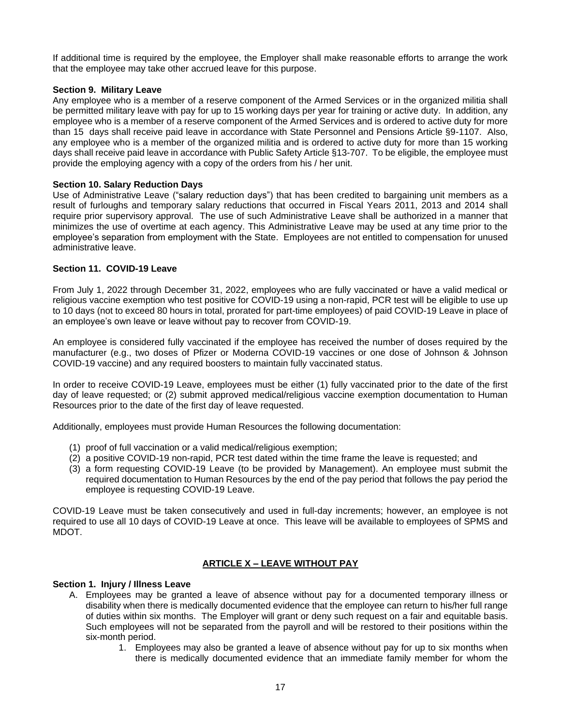If additional time is required by the employee, the Employer shall make reasonable efforts to arrange the work that the employee may take other accrued leave for this purpose.

# **Section 9. Military Leave**

Any employee who is a member of a reserve component of the Armed Services or in the organized militia shall be permitted military leave with pay for up to 15 working days per year for training or active duty. In addition, any employee who is a member of a reserve component of the Armed Services and is ordered to active duty for more than 15 days shall receive paid leave in accordance with State Personnel and Pensions Article §9-1107. Also, any employee who is a member of the organized militia and is ordered to active duty for more than 15 working days shall receive paid leave in accordance with Public Safety Article §13-707. To be eligible, the employee must provide the employing agency with a copy of the orders from his / her unit.

# **Section 10. Salary Reduction Days**

Use of Administrative Leave ("salary reduction days") that has been credited to bargaining unit members as a result of furloughs and temporary salary reductions that occurred in Fiscal Years 2011, 2013 and 2014 shall require prior supervisory approval. The use of such Administrative Leave shall be authorized in a manner that minimizes the use of overtime at each agency. This Administrative Leave may be used at any time prior to the employee's separation from employment with the State. Employees are not entitled to compensation for unused administrative leave.

# **Section 11. COVID-19 Leave**

From July 1, 2022 through December 31, 2022, employees who are fully vaccinated or have a valid medical or religious vaccine exemption who test positive for COVID-19 using a non-rapid, PCR test will be eligible to use up to 10 days (not to exceed 80 hours in total, prorated for part-time employees) of paid COVID-19 Leave in place of an employee's own leave or leave without pay to recover from COVID-19.

An employee is considered fully vaccinated if the employee has received the number of doses required by the manufacturer (e.g., two doses of Pfizer or Moderna COVID-19 vaccines or one dose of Johnson & Johnson COVID-19 vaccine) and any required boosters to maintain fully vaccinated status.

In order to receive COVID-19 Leave, employees must be either (1) fully vaccinated prior to the date of the first day of leave requested; or (2) submit approved medical/religious vaccine exemption documentation to Human Resources prior to the date of the first day of leave requested.

Additionally, employees must provide Human Resources the following documentation:

- (1) proof of full vaccination or a valid medical/religious exemption;
- (2) a positive COVID-19 non-rapid, PCR test dated within the time frame the leave is requested; and
- (3) a form requesting COVID-19 Leave (to be provided by Management). An employee must submit the required documentation to Human Resources by the end of the pay period that follows the pay period the employee is requesting COVID-19 Leave.

COVID-19 Leave must be taken consecutively and used in full-day increments; however, an employee is not required to use all 10 days of COVID-19 Leave at once. This leave will be available to employees of SPMS and MDOT.

# **ARTICLE X – LEAVE WITHOUT PAY**

## **Section 1. Injury / Illness Leave**

- A. Employees may be granted a leave of absence without pay for a documented temporary illness or disability when there is medically documented evidence that the employee can return to his/her full range of duties within six months. The Employer will grant or deny such request on a fair and equitable basis. Such employees will not be separated from the payroll and will be restored to their positions within the six-month period.
	- 1. Employees may also be granted a leave of absence without pay for up to six months when there is medically documented evidence that an immediate family member for whom the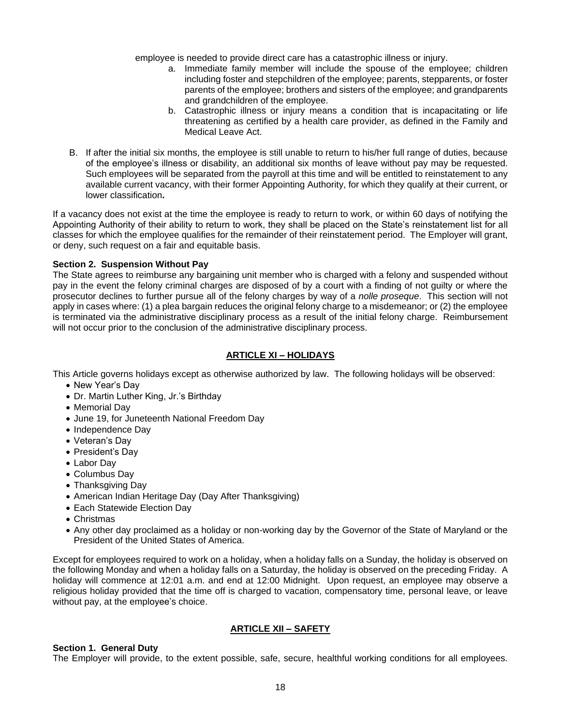employee is needed to provide direct care has a catastrophic illness or injury.

- a. Immediate family member will include the spouse of the employee; children including foster and stepchildren of the employee; parents, stepparents, or foster parents of the employee; brothers and sisters of the employee; and grandparents and grandchildren of the employee.
- b. Catastrophic illness or injury means a condition that is incapacitating or life threatening as certified by a health care provider, as defined in the Family and Medical Leave Act.
- B. If after the initial six months, the employee is still unable to return to his/her full range of duties, because of the employee's illness or disability, an additional six months of leave without pay may be requested. Such employees will be separated from the payroll at this time and will be entitled to reinstatement to any available current vacancy, with their former Appointing Authority, for which they qualify at their current, or lower classification**.**

If a vacancy does not exist at the time the employee is ready to return to work, or within 60 days of notifying the Appointing Authority of their ability to return to work, they shall be placed on the State's reinstatement list for all classes for which the employee qualifies for the remainder of their reinstatement period. The Employer will grant, or deny, such request on a fair and equitable basis.

# **Section 2. Suspension Without Pay**

The State agrees to reimburse any bargaining unit member who is charged with a felony and suspended without pay in the event the felony criminal charges are disposed of by a court with a finding of not guilty or where the prosecutor declines to further pursue all of the felony charges by way of a *nolle proseque*. This section will not apply in cases where: (1) a plea bargain reduces the original felony charge to a misdemeanor; or (2) the employee is terminated via the administrative disciplinary process as a result of the initial felony charge. Reimbursement will not occur prior to the conclusion of the administrative disciplinary process.

# **ARTICLE XI – HOLIDAYS**

This Article governs holidays except as otherwise authorized by law. The following holidays will be observed:

- New Year's Day
- Dr. Martin Luther King, Jr.'s Birthday
- Memorial Day
- June 19, for Juneteenth National Freedom Day
- Independence Day
- Veteran's Day
- President's Day
- Labor Day
- Columbus Day
- Thanksgiving Day
- American Indian Heritage Day (Day After Thanksgiving)
- Each Statewide Election Day
- Christmas
- Any other day proclaimed as a holiday or non-working day by the Governor of the State of Maryland or the President of the United States of America.

Except for employees required to work on a holiday, when a holiday falls on a Sunday, the holiday is observed on the following Monday and when a holiday falls on a Saturday, the holiday is observed on the preceding Friday. A holiday will commence at 12:01 a.m. and end at 12:00 Midnight. Upon request, an employee may observe a religious holiday provided that the time off is charged to vacation, compensatory time, personal leave, or leave without pay, at the employee's choice.

# **ARTICLE XII – SAFETY**

## **Section 1. General Duty**

The Employer will provide, to the extent possible, safe, secure, healthful working conditions for all employees.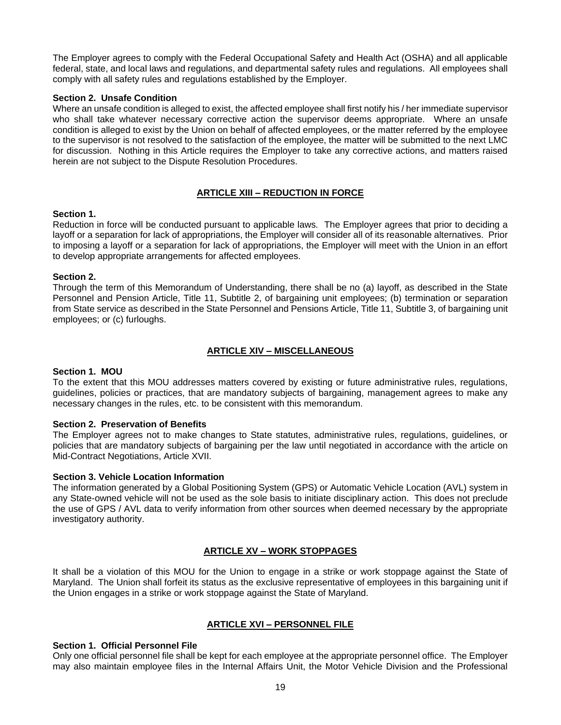The Employer agrees to comply with the Federal Occupational Safety and Health Act (OSHA) and all applicable federal, state, and local laws and regulations, and departmental safety rules and regulations. All employees shall comply with all safety rules and regulations established by the Employer.

# **Section 2. Unsafe Condition**

Where an unsafe condition is alleged to exist, the affected employee shall first notify his / her immediate supervisor who shall take whatever necessary corrective action the supervisor deems appropriate. Where an unsafe condition is alleged to exist by the Union on behalf of affected employees, or the matter referred by the employee to the supervisor is not resolved to the satisfaction of the employee, the matter will be submitted to the next LMC for discussion. Nothing in this Article requires the Employer to take any corrective actions, and matters raised herein are not subject to the Dispute Resolution Procedures.

# **ARTICLE XIII – REDUCTION IN FORCE**

## **Section 1.**

Reduction in force will be conducted pursuant to applicable laws*.* The Employer agrees that prior to deciding a layoff or a separation for lack of appropriations, the Employer will consider all of its reasonable alternatives. Prior to imposing a layoff or a separation for lack of appropriations, the Employer will meet with the Union in an effort to develop appropriate arrangements for affected employees.

## **Section 2.**

Through the term of this Memorandum of Understanding, there shall be no (a) layoff, as described in the State Personnel and Pension Article, Title 11, Subtitle 2, of bargaining unit employees; (b) termination or separation from State service as described in the State Personnel and Pensions Article, Title 11, Subtitle 3, of bargaining unit employees; or (c) furloughs.

# **ARTICLE XIV – MISCELLANEOUS**

## **Section 1. MOU**

To the extent that this MOU addresses matters covered by existing or future administrative rules, regulations, guidelines, policies or practices, that are mandatory subjects of bargaining, management agrees to make any necessary changes in the rules, etc. to be consistent with this memorandum.

## **Section 2. Preservation of Benefits**

The Employer agrees not to make changes to State statutes, administrative rules, regulations, guidelines, or policies that are mandatory subjects of bargaining per the law until negotiated in accordance with the article on Mid-Contract Negotiations, Article XVII.

## **Section 3. Vehicle Location Information**

The information generated by a Global Positioning System (GPS) or Automatic Vehicle Location (AVL) system in any State-owned vehicle will not be used as the sole basis to initiate disciplinary action. This does not preclude the use of GPS / AVL data to verify information from other sources when deemed necessary by the appropriate investigatory authority.

# **ARTICLE XV – WORK STOPPAGES**

It shall be a violation of this MOU for the Union to engage in a strike or work stoppage against the State of Maryland. The Union shall forfeit its status as the exclusive representative of employees in this bargaining unit if the Union engages in a strike or work stoppage against the State of Maryland.

# **ARTICLE XVI – PERSONNEL FILE**

## **Section 1. Official Personnel File**

Only one official personnel file shall be kept for each employee at the appropriate personnel office. The Employer may also maintain employee files in the Internal Affairs Unit, the Motor Vehicle Division and the Professional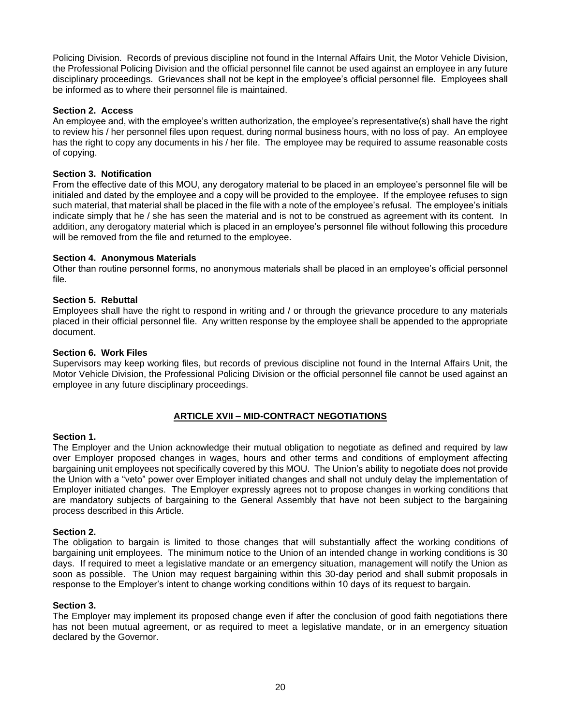Policing Division. Records of previous discipline not found in the Internal Affairs Unit, the Motor Vehicle Division, the Professional Policing Division and the official personnel file cannot be used against an employee in any future disciplinary proceedings. Grievances shall not be kept in the employee's official personnel file. Employees shall be informed as to where their personnel file is maintained.

# **Section 2. Access**

An employee and, with the employee's written authorization, the employee's representative(s) shall have the right to review his / her personnel files upon request, during normal business hours, with no loss of pay. An employee has the right to copy any documents in his / her file. The employee may be required to assume reasonable costs of copying.

# **Section 3. Notification**

From the effective date of this MOU, any derogatory material to be placed in an employee's personnel file will be initialed and dated by the employee and a copy will be provided to the employee. If the employee refuses to sign such material, that material shall be placed in the file with a note of the employee's refusal. The employee's initials indicate simply that he / she has seen the material and is not to be construed as agreement with its content. In addition, any derogatory material which is placed in an employee's personnel file without following this procedure will be removed from the file and returned to the employee.

# **Section 4. Anonymous Materials**

Other than routine personnel forms, no anonymous materials shall be placed in an employee's official personnel file.

# **Section 5. Rebuttal**

Employees shall have the right to respond in writing and / or through the grievance procedure to any materials placed in their official personnel file. Any written response by the employee shall be appended to the appropriate document.

# **Section 6. Work Files**

Supervisors may keep working files, but records of previous discipline not found in the Internal Affairs Unit, the Motor Vehicle Division, the Professional Policing Division or the official personnel file cannot be used against an employee in any future disciplinary proceedings.

# **ARTICLE XVII – MID-CONTRACT NEGOTIATIONS**

## **Section 1.**

The Employer and the Union acknowledge their mutual obligation to negotiate as defined and required by law over Employer proposed changes in wages, hours and other terms and conditions of employment affecting bargaining unit employees not specifically covered by this MOU. The Union's ability to negotiate does not provide the Union with a "veto" power over Employer initiated changes and shall not unduly delay the implementation of Employer initiated changes. The Employer expressly agrees not to propose changes in working conditions that are mandatory subjects of bargaining to the General Assembly that have not been subject to the bargaining process described in this Article.

## **Section 2.**

The obligation to bargain is limited to those changes that will substantially affect the working conditions of bargaining unit employees. The minimum notice to the Union of an intended change in working conditions is 30 days. If required to meet a legislative mandate or an emergency situation, management will notify the Union as soon as possible. The Union may request bargaining within this 30-day period and shall submit proposals in response to the Employer's intent to change working conditions within 10 days of its request to bargain.

## **Section 3.**

The Employer may implement its proposed change even if after the conclusion of good faith negotiations there has not been mutual agreement, or as required to meet a legislative mandate, or in an emergency situation declared by the Governor.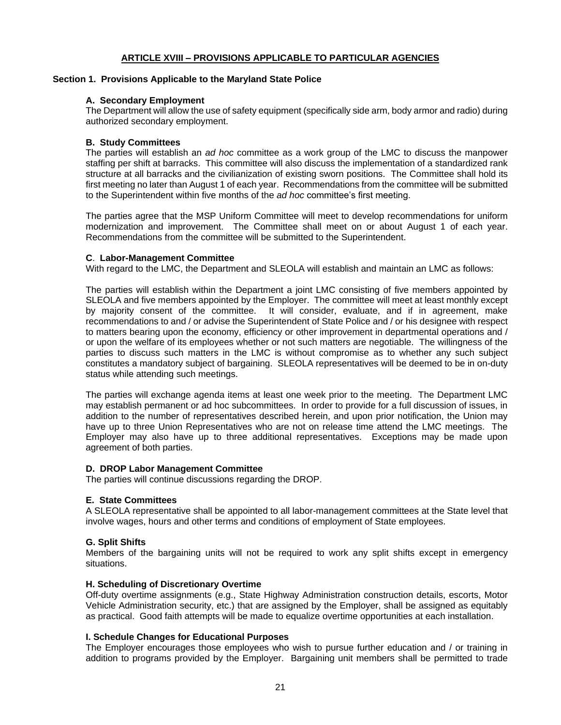# **ARTICLE XVIII – PROVISIONS APPLICABLE TO PARTICULAR AGENCIES**

#### **Section 1. Provisions Applicable to the Maryland State Police**

## **A. Secondary Employment**

The Department will allow the use of safety equipment (specifically side arm, body armor and radio) during authorized secondary employment.

## **B. Study Committees**

The parties will establish an *ad hoc* committee as a work group of the LMC to discuss the manpower staffing per shift at barracks. This committee will also discuss the implementation of a standardized rank structure at all barracks and the civilianization of existing sworn positions. The Committee shall hold its first meeting no later than August 1 of each year. Recommendations from the committee will be submitted to the Superintendent within five months of the *ad hoc* committee's first meeting.

The parties agree that the MSP Uniform Committee will meet to develop recommendations for uniform modernization and improvement. The Committee shall meet on or about August 1 of each year. Recommendations from the committee will be submitted to the Superintendent.

#### **C**. **Labor-Management Committee**

With regard to the LMC, the Department and SLEOLA will establish and maintain an LMC as follows:

The parties will establish within the Department a joint LMC consisting of five members appointed by SLEOLA and five members appointed by the Employer. The committee will meet at least monthly except by majority consent of the committee. It will consider, evaluate, and if in agreement, make recommendations to and / or advise the Superintendent of State Police and / or his designee with respect to matters bearing upon the economy, efficiency or other improvement in departmental operations and / or upon the welfare of its employees whether or not such matters are negotiable. The willingness of the parties to discuss such matters in the LMC is without compromise as to whether any such subject constitutes a mandatory subject of bargaining. SLEOLA representatives will be deemed to be in on-duty status while attending such meetings.

The parties will exchange agenda items at least one week prior to the meeting. The Department LMC may establish permanent or ad hoc subcommittees. In order to provide for a full discussion of issues, in addition to the number of representatives described herein, and upon prior notification, the Union may have up to three Union Representatives who are not on release time attend the LMC meetings. The Employer may also have up to three additional representatives. Exceptions may be made upon agreement of both parties.

#### **D. DROP Labor Management Committee**

The parties will continue discussions regarding the DROP.

## **E. State Committees**

A SLEOLA representative shall be appointed to all labor-management committees at the State level that involve wages, hours and other terms and conditions of employment of State employees.

## **G. Split Shifts**

Members of the bargaining units will not be required to work any split shifts except in emergency situations.

## **H. Scheduling of Discretionary Overtime**

Off-duty overtime assignments (e.g., State Highway Administration construction details, escorts, Motor Vehicle Administration security, etc.) that are assigned by the Employer, shall be assigned as equitably as practical. Good faith attempts will be made to equalize overtime opportunities at each installation.

#### **I. Schedule Changes for Educational Purposes**

The Employer encourages those employees who wish to pursue further education and / or training in addition to programs provided by the Employer. Bargaining unit members shall be permitted to trade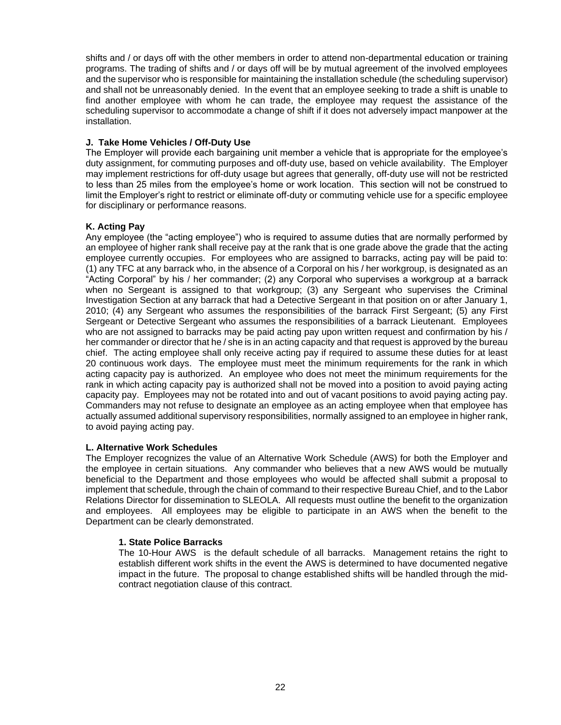shifts and / or days off with the other members in order to attend non-departmental education or training programs. The trading of shifts and / or days off will be by mutual agreement of the involved employees and the supervisor who is responsible for maintaining the installation schedule (the scheduling supervisor) and shall not be unreasonably denied. In the event that an employee seeking to trade a shift is unable to find another employee with whom he can trade, the employee may request the assistance of the scheduling supervisor to accommodate a change of shift if it does not adversely impact manpower at the installation.

# **J. Take Home Vehicles / Off-Duty Use**

The Employer will provide each bargaining unit member a vehicle that is appropriate for the employee's duty assignment, for commuting purposes and off-duty use, based on vehicle availability. The Employer may implement restrictions for off-duty usage but agrees that generally, off-duty use will not be restricted to less than 25 miles from the employee's home or work location. This section will not be construed to limit the Employer's right to restrict or eliminate off-duty or commuting vehicle use for a specific employee for disciplinary or performance reasons.

# **K. Acting Pay**

Any employee (the "acting employee") who is required to assume duties that are normally performed by an employee of higher rank shall receive pay at the rank that is one grade above the grade that the acting employee currently occupies. For employees who are assigned to barracks, acting pay will be paid to: (1) any TFC at any barrack who, in the absence of a Corporal on his / her workgroup, is designated as an "Acting Corporal" by his / her commander; (2) any Corporal who supervises a workgroup at a barrack when no Sergeant is assigned to that workgroup; (3) any Sergeant who supervises the Criminal Investigation Section at any barrack that had a Detective Sergeant in that position on or after January 1, 2010; (4) any Sergeant who assumes the responsibilities of the barrack First Sergeant; (5) any First Sergeant or Detective Sergeant who assumes the responsibilities of a barrack Lieutenant. Employees who are not assigned to barracks may be paid acting pay upon written request and confirmation by his / her commander or director that he / she is in an acting capacity and that request is approved by the bureau chief. The acting employee shall only receive acting pay if required to assume these duties for at least 20 continuous work days. The employee must meet the minimum requirements for the rank in which acting capacity pay is authorized. An employee who does not meet the minimum requirements for the rank in which acting capacity pay is authorized shall not be moved into a position to avoid paying acting capacity pay. Employees may not be rotated into and out of vacant positions to avoid paying acting pay. Commanders may not refuse to designate an employee as an acting employee when that employee has actually assumed additional supervisory responsibilities, normally assigned to an employee in higher rank, to avoid paying acting pay.

## **L. Alternative Work Schedules**

The Employer recognizes the value of an Alternative Work Schedule (AWS) for both the Employer and the employee in certain situations. Any commander who believes that a new AWS would be mutually beneficial to the Department and those employees who would be affected shall submit a proposal to implement that schedule, through the chain of command to their respective Bureau Chief, and to the Labor Relations Director for dissemination to SLEOLA. All requests must outline the benefit to the organization and employees. All employees may be eligible to participate in an AWS when the benefit to the Department can be clearly demonstrated.

## **1. State Police Barracks**

The 10-Hour AWS is the default schedule of all barracks. Management retains the right to establish different work shifts in the event the AWS is determined to have documented negative impact in the future. The proposal to change established shifts will be handled through the midcontract negotiation clause of this contract.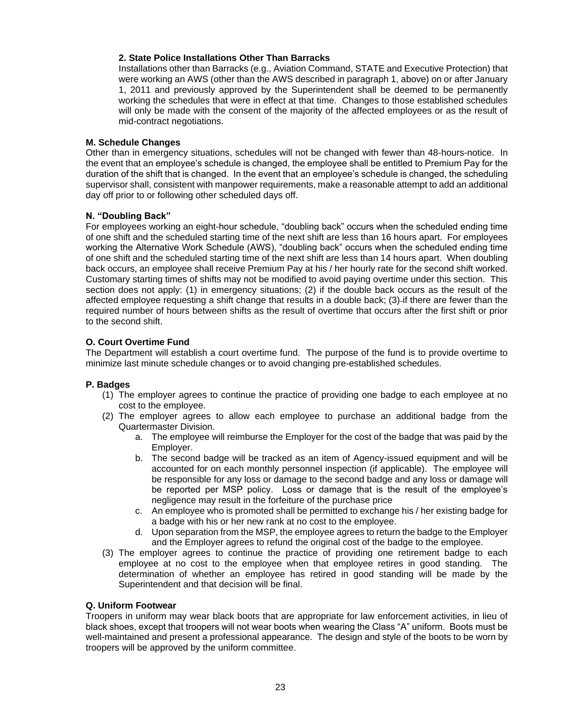# **2. State Police Installations Other Than Barracks**

Installations other than Barracks (e.g., Aviation Command, STATE and Executive Protection) that were working an AWS (other than the AWS described in paragraph 1, above) on or after January 1, 2011 and previously approved by the Superintendent shall be deemed to be permanently working the schedules that were in effect at that time. Changes to those established schedules will only be made with the consent of the majority of the affected employees or as the result of mid-contract negotiations.

# **M. Schedule Changes**

Other than in emergency situations, schedules will not be changed with fewer than 48-hours-notice. In the event that an employee's schedule is changed, the employee shall be entitled to Premium Pay for the duration of the shift that is changed. In the event that an employee's schedule is changed, the scheduling supervisor shall, consistent with manpower requirements, make a reasonable attempt to add an additional day off prior to or following other scheduled days off.

# **N. "Doubling Back"**

For employees working an eight-hour schedule, "doubling back" occurs when the scheduled ending time of one shift and the scheduled starting time of the next shift are less than 16 hours apart. For employees working the Alternative Work Schedule (AWS), "doubling back" occurs when the scheduled ending time of one shift and the scheduled starting time of the next shift are less than 14 hours apart. When doubling back occurs, an employee shall receive Premium Pay at his / her hourly rate for the second shift worked. Customary starting times of shifts may not be modified to avoid paying overtime under this section. This section does not apply: (1) in emergency situations; (2) if the double back occurs as the result of the affected employee requesting a shift change that results in a double back; (3) if there are fewer than the required number of hours between shifts as the result of overtime that occurs after the first shift or prior to the second shift.

# **O. Court Overtime Fund**

The Department will establish a court overtime fund. The purpose of the fund is to provide overtime to minimize last minute schedule changes or to avoid changing pre-established schedules.

# **P. Badges**

- (1) The employer agrees to continue the practice of providing one badge to each employee at no cost to the employee.
- (2) The employer agrees to allow each employee to purchase an additional badge from the Quartermaster Division.
	- a. The employee will reimburse the Employer for the cost of the badge that was paid by the Employer.
	- b. The second badge will be tracked as an item of Agency-issued equipment and will be accounted for on each monthly personnel inspection (if applicable). The employee will be responsible for any loss or damage to the second badge and any loss or damage will be reported per MSP policy. Loss or damage that is the result of the employee's negligence may result in the forfeiture of the purchase price
	- c. An employee who is promoted shall be permitted to exchange his / her existing badge for a badge with his or her new rank at no cost to the employee.
	- d. Upon separation from the MSP, the employee agrees to return the badge to the Employer and the Employer agrees to refund the original cost of the badge to the employee.
- (3) The employer agrees to continue the practice of providing one retirement badge to each employee at no cost to the employee when that employee retires in good standing. The determination of whether an employee has retired in good standing will be made by the Superintendent and that decision will be final.

## **Q. Uniform Footwear**

Troopers in uniform may wear black boots that are appropriate for law enforcement activities, in lieu of black shoes, except that troopers will not wear boots when wearing the Class "A" uniform. Boots must be well-maintained and present a professional appearance. The design and style of the boots to be worn by troopers will be approved by the uniform committee.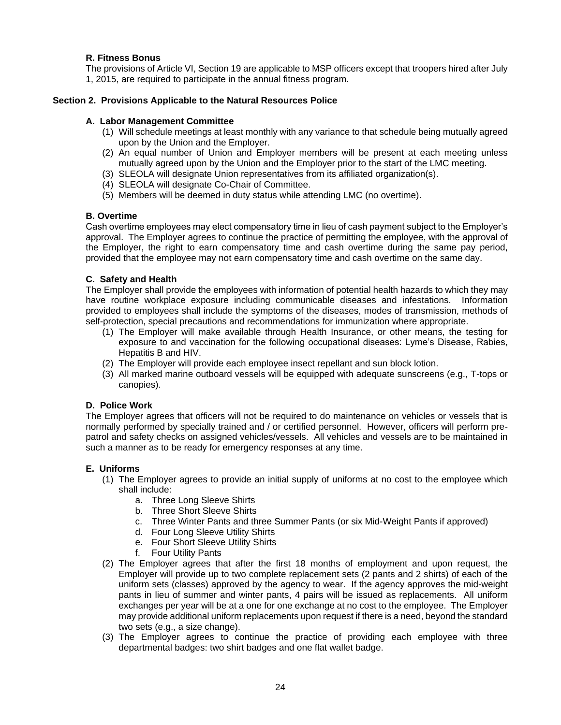# **R. Fitness Bonus**

The provisions of Article VI, Section 19 are applicable to MSP officers except that troopers hired after July 1, 2015, are required to participate in the annual fitness program.

# **Section 2. Provisions Applicable to the Natural Resources Police**

# **A. Labor Management Committee**

- (1) Will schedule meetings at least monthly with any variance to that schedule being mutually agreed upon by the Union and the Employer.
- (2) An equal number of Union and Employer members will be present at each meeting unless mutually agreed upon by the Union and the Employer prior to the start of the LMC meeting.
- (3) SLEOLA will designate Union representatives from its affiliated organization(s).
- (4) SLEOLA will designate Co-Chair of Committee.
- (5) Members will be deemed in duty status while attending LMC (no overtime).

# **B. Overtime**

Cash overtime employees may elect compensatory time in lieu of cash payment subject to the Employer's approval. The Employer agrees to continue the practice of permitting the employee, with the approval of the Employer, the right to earn compensatory time and cash overtime during the same pay period, provided that the employee may not earn compensatory time and cash overtime on the same day.

# **C. Safety and Health**

The Employer shall provide the employees with information of potential health hazards to which they may have routine workplace exposure including communicable diseases and infestations. Information provided to employees shall include the symptoms of the diseases, modes of transmission, methods of self-protection, special precautions and recommendations for immunization where appropriate.

- (1) The Employer will make available through Health Insurance, or other means, the testing for exposure to and vaccination for the following occupational diseases: Lyme's Disease, Rabies, Hepatitis B and HIV.
- (2) The Employer will provide each employee insect repellant and sun block lotion.
- (3) All marked marine outboard vessels will be equipped with adequate sunscreens (e.g., T-tops or canopies).

## **D. Police Work**

The Employer agrees that officers will not be required to do maintenance on vehicles or vessels that is normally performed by specially trained and / or certified personnel. However, officers will perform prepatrol and safety checks on assigned vehicles/vessels. All vehicles and vessels are to be maintained in such a manner as to be ready for emergency responses at any time.

## **E. Uniforms**

- (1) The Employer agrees to provide an initial supply of uniforms at no cost to the employee which shall include:
	- a. Three Long Sleeve Shirts
	- b. Three Short Sleeve Shirts
	- c. Three Winter Pants and three Summer Pants (or six Mid-Weight Pants if approved)
	- d. Four Long Sleeve Utility Shirts
	- e. Four Short Sleeve Utility Shirts
	- f. Four Utility Pants
- (2) The Employer agrees that after the first 18 months of employment and upon request, the Employer will provide up to two complete replacement sets (2 pants and 2 shirts) of each of the uniform sets (classes) approved by the agency to wear. If the agency approves the mid-weight pants in lieu of summer and winter pants, 4 pairs will be issued as replacements. All uniform exchanges per year will be at a one for one exchange at no cost to the employee. The Employer may provide additional uniform replacements upon request if there is a need, beyond the standard two sets (e.g., a size change).
- (3) The Employer agrees to continue the practice of providing each employee with three departmental badges: two shirt badges and one flat wallet badge.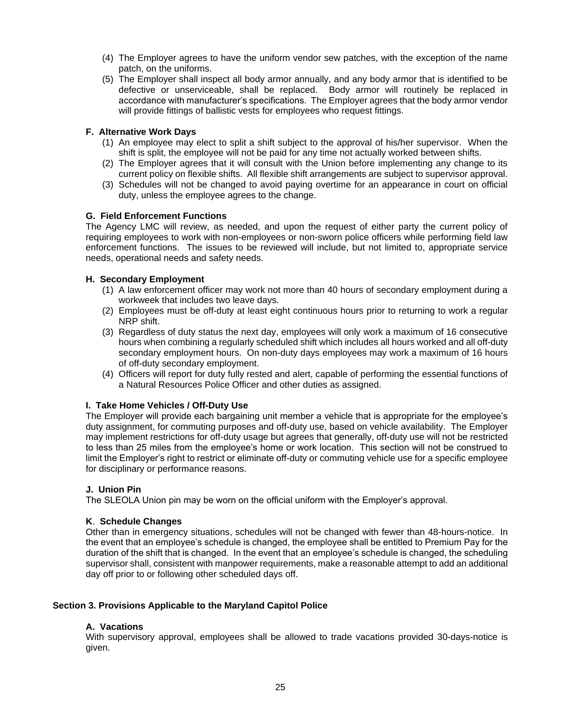- (4) The Employer agrees to have the uniform vendor sew patches, with the exception of the name patch, on the uniforms.
- (5) The Employer shall inspect all body armor annually, and any body armor that is identified to be defective or unserviceable, shall be replaced. Body armor will routinely be replaced in accordance with manufacturer's specifications. The Employer agrees that the body armor vendor will provide fittings of ballistic vests for employees who request fittings.

# **F. Alternative Work Days**

- (1) An employee may elect to split a shift subject to the approval of his/her supervisor. When the shift is split, the employee will not be paid for any time not actually worked between shifts.
- (2) The Employer agrees that it will consult with the Union before implementing any change to its current policy on flexible shifts. All flexible shift arrangements are subject to supervisor approval.
- (3) Schedules will not be changed to avoid paying overtime for an appearance in court on official duty, unless the employee agrees to the change.

# **G. Field Enforcement Functions**

The Agency LMC will review, as needed, and upon the request of either party the current policy of requiring employees to work with non-employees or non-sworn police officers while performing field law enforcement functions. The issues to be reviewed will include, but not limited to, appropriate service needs, operational needs and safety needs.

# **H. Secondary Employment**

- (1) A law enforcement officer may work not more than 40 hours of secondary employment during a workweek that includes two leave days.
- (2) Employees must be off-duty at least eight continuous hours prior to returning to work a regular NRP shift.
- (3) Regardless of duty status the next day, employees will only work a maximum of 16 consecutive hours when combining a regularly scheduled shift which includes all hours worked and all off-duty secondary employment hours. On non-duty days employees may work a maximum of 16 hours of off-duty secondary employment.
- (4) Officers will report for duty fully rested and alert, capable of performing the essential functions of a Natural Resources Police Officer and other duties as assigned.

## **I. Take Home Vehicles / Off-Duty Use**

The Employer will provide each bargaining unit member a vehicle that is appropriate for the employee's duty assignment, for commuting purposes and off-duty use, based on vehicle availability. The Employer may implement restrictions for off-duty usage but agrees that generally, off-duty use will not be restricted to less than 25 miles from the employee's home or work location. This section will not be construed to limit the Employer's right to restrict or eliminate off-duty or commuting vehicle use for a specific employee for disciplinary or performance reasons.

## **J. Union Pin**

The SLEOLA Union pin may be worn on the official uniform with the Employer's approval.

## **K**. **Schedule Changes**

Other than in emergency situations, schedules will not be changed with fewer than 48-hours-notice. In the event that an employee's schedule is changed, the employee shall be entitled to Premium Pay for the duration of the shift that is changed. In the event that an employee's schedule is changed, the scheduling supervisor shall, consistent with manpower requirements, make a reasonable attempt to add an additional day off prior to or following other scheduled days off.

## **Section 3. Provisions Applicable to the Maryland Capitol Police**

# **A. Vacations**

With supervisory approval, employees shall be allowed to trade vacations provided 30-days-notice is given.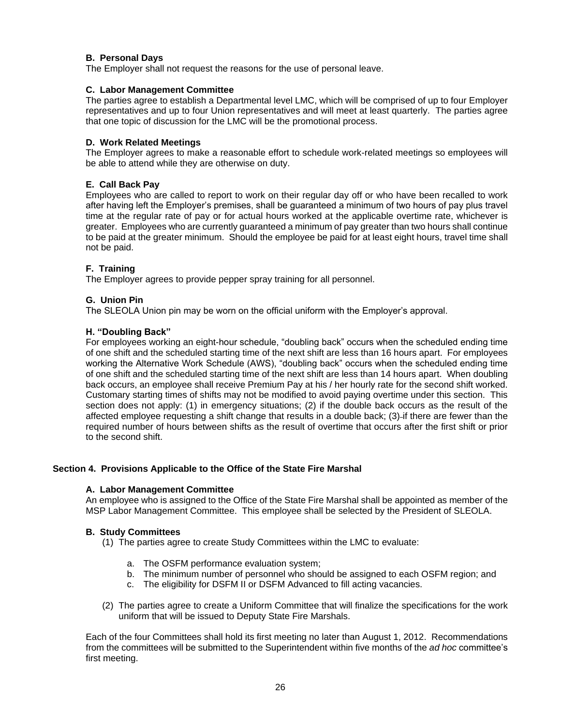# **B. Personal Days**

The Employer shall not request the reasons for the use of personal leave.

# **C. Labor Management Committee**

The parties agree to establish a Departmental level LMC, which will be comprised of up to four Employer representatives and up to four Union representatives and will meet at least quarterly. The parties agree that one topic of discussion for the LMC will be the promotional process.

# **D. Work Related Meetings**

The Employer agrees to make a reasonable effort to schedule work-related meetings so employees will be able to attend while they are otherwise on duty.

# **E. Call Back Pay**

Employees who are called to report to work on their regular day off or who have been recalled to work after having left the Employer's premises, shall be guaranteed a minimum of two hours of pay plus travel time at the regular rate of pay or for actual hours worked at the applicable overtime rate, whichever is greater. Employees who are currently guaranteed a minimum of pay greater than two hours shall continue to be paid at the greater minimum. Should the employee be paid for at least eight hours, travel time shall not be paid.

# **F. Training**

The Employer agrees to provide pepper spray training for all personnel.

# **G. Union Pin**

The SLEOLA Union pin may be worn on the official uniform with the Employer's approval.

## **H. "Doubling Back"**

For employees working an eight-hour schedule, "doubling back" occurs when the scheduled ending time of one shift and the scheduled starting time of the next shift are less than 16 hours apart. For employees working the Alternative Work Schedule (AWS), "doubling back" occurs when the scheduled ending time of one shift and the scheduled starting time of the next shift are less than 14 hours apart. When doubling back occurs, an employee shall receive Premium Pay at his / her hourly rate for the second shift worked. Customary starting times of shifts may not be modified to avoid paying overtime under this section. This section does not apply: (1) in emergency situations; (2) if the double back occurs as the result of the affected employee requesting a shift change that results in a double back; (3)-if there are fewer than the required number of hours between shifts as the result of overtime that occurs after the first shift or prior to the second shift.

## **Section 4. Provisions Applicable to the Office of the State Fire Marshal**

## **A. Labor Management Committee**

An employee who is assigned to the Office of the State Fire Marshal shall be appointed as member of the MSP Labor Management Committee. This employee shall be selected by the President of SLEOLA.

## **B. Study Committees**

(1) The parties agree to create Study Committees within the LMC to evaluate:

- a. The OSFM performance evaluation system;
- b. The minimum number of personnel who should be assigned to each OSFM region; and
- c. The eligibility for DSFM II or DSFM Advanced to fill acting vacancies.
- (2) The parties agree to create a Uniform Committee that will finalize the specifications for the work uniform that will be issued to Deputy State Fire Marshals.

Each of the four Committees shall hold its first meeting no later than August 1, 2012. Recommendations from the committees will be submitted to the Superintendent within five months of the *ad hoc* committee's first meeting.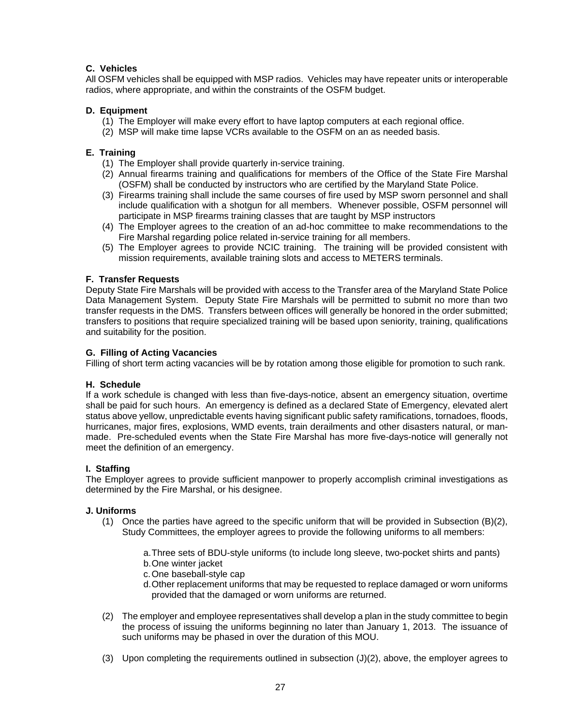# **C. Vehicles**

All OSFM vehicles shall be equipped with MSP radios. Vehicles may have repeater units or interoperable radios, where appropriate, and within the constraints of the OSFM budget.

# **D. Equipment**

- (1) The Employer will make every effort to have laptop computers at each regional office.
- (2) MSP will make time lapse VCRs available to the OSFM on an as needed basis.

# **E. Training**

- (1) The Employer shall provide quarterly in-service training.
- (2) Annual firearms training and qualifications for members of the Office of the State Fire Marshal (OSFM) shall be conducted by instructors who are certified by the Maryland State Police.
- (3) Firearms training shall include the same courses of fire used by MSP sworn personnel and shall include qualification with a shotgun for all members. Whenever possible, OSFM personnel will participate in MSP firearms training classes that are taught by MSP instructors
- (4) The Employer agrees to the creation of an ad-hoc committee to make recommendations to the Fire Marshal regarding police related in-service training for all members.
- (5) The Employer agrees to provide NCIC training. The training will be provided consistent with mission requirements, available training slots and access to METERS terminals.

# **F. Transfer Requests**

Deputy State Fire Marshals will be provided with access to the Transfer area of the Maryland State Police Data Management System. Deputy State Fire Marshals will be permitted to submit no more than two transfer requests in the DMS. Transfers between offices will generally be honored in the order submitted; transfers to positions that require specialized training will be based upon seniority, training, qualifications and suitability for the position.

# **G. Filling of Acting Vacancies**

Filling of short term acting vacancies will be by rotation among those eligible for promotion to such rank.

## **H. Schedule**

If a work schedule is changed with less than five-days-notice, absent an emergency situation, overtime shall be paid for such hours. An emergency is defined as a declared State of Emergency, elevated alert status above yellow, unpredictable events having significant public safety ramifications, tornadoes, floods, hurricanes, major fires, explosions, WMD events, train derailments and other disasters natural, or manmade. Pre-scheduled events when the State Fire Marshal has more five-days-notice will generally not meet the definition of an emergency.

## **I. Staffing**

The Employer agrees to provide sufficient manpower to properly accomplish criminal investigations as determined by the Fire Marshal, or his designee.

## **J. Uniforms**

(1) Once the parties have agreed to the specific uniform that will be provided in Subsection (B)(2), Study Committees, the employer agrees to provide the following uniforms to all members:

a.Three sets of BDU-style uniforms (to include long sleeve, two-pocket shirts and pants)

- b.One winter jacket
- c.One baseball-style cap
- d.Other replacement uniforms that may be requested to replace damaged or worn uniforms provided that the damaged or worn uniforms are returned.
- (2) The employer and employee representatives shall develop a plan in the study committee to begin the process of issuing the uniforms beginning no later than January 1, 2013. The issuance of such uniforms may be phased in over the duration of this MOU.
- (3) Upon completing the requirements outlined in subsection (J)(2), above, the employer agrees to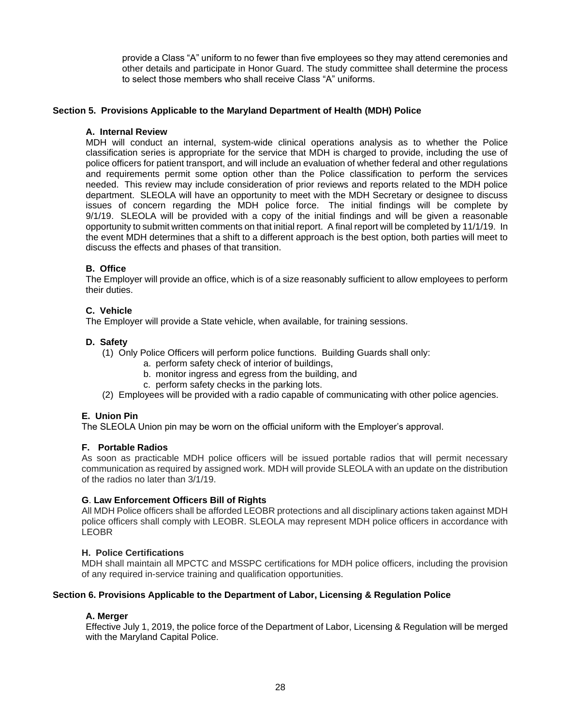provide a Class "A" uniform to no fewer than five employees so they may attend ceremonies and other details and participate in Honor Guard. The study committee shall determine the process to select those members who shall receive Class "A" uniforms.

# **Section 5. Provisions Applicable to the Maryland Department of Health (MDH) Police**

# **A. Internal Review**

MDH will conduct an internal, system-wide clinical operations analysis as to whether the Police classification series is appropriate for the service that MDH is charged to provide, including the use of police officers for patient transport, and will include an evaluation of whether federal and other regulations and requirements permit some option other than the Police classification to perform the services needed. This review may include consideration of prior reviews and reports related to the MDH police department. SLEOLA will have an opportunity to meet with the MDH Secretary or designee to discuss issues of concern regarding the MDH police force. The initial findings will be complete by 9/1/19. SLEOLA will be provided with a copy of the initial findings and will be given a reasonable opportunity to submit written comments on that initial report. A final report will be completed by 11/1/19. In the event MDH determines that a shift to a different approach is the best option, both parties will meet to discuss the effects and phases of that transition.

# **B. Office**

The Employer will provide an office, which is of a size reasonably sufficient to allow employees to perform their duties.

# **C. Vehicle**

The Employer will provide a State vehicle, when available, for training sessions.

# **D. Safety**

- (1) Only Police Officers will perform police functions. Building Guards shall only:
	- a. perform safety check of interior of buildings,
	- b. monitor ingress and egress from the building, and
	- c. perform safety checks in the parking lots.
- (2) Employees will be provided with a radio capable of communicating with other police agencies.

## **E. Union Pin**

The SLEOLA Union pin may be worn on the official uniform with the Employer's approval.

## **F. Portable Radios**

As soon as practicable MDH police officers will be issued portable radios that will permit necessary communication as required by assigned work. MDH will provide SLEOLA with an update on the distribution of the radios no later than 3/1/19.

## **G**. **Law Enforcement Officers Bill of Rights**

All MDH Police officers shall be afforded LEOBR protections and all disciplinary actions taken against MDH police officers shall comply with LEOBR. SLEOLA may represent MDH police officers in accordance with LEOBR

## **H. Police Certifications**

MDH shall maintain all MPCTC and MSSPC certifications for MDH police officers, including the provision of any required in-service training and qualification opportunities.

## **Section 6. Provisions Applicable to the Department of Labor, Licensing & Regulation Police**

## **A. Merger**

Effective July 1, 2019, the police force of the Department of Labor, Licensing & Regulation will be merged with the Maryland Capital Police.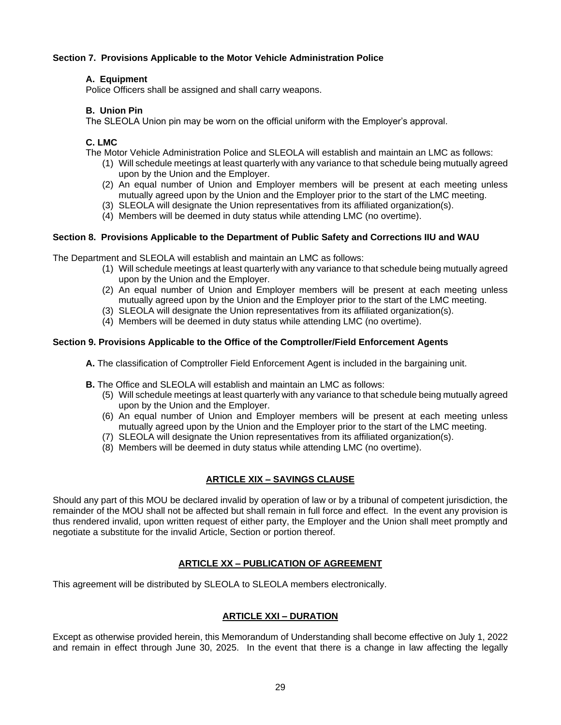# **Section 7. Provisions Applicable to the Motor Vehicle Administration Police**

# **A. Equipment**

Police Officers shall be assigned and shall carry weapons.

# **B. Union Pin**

The SLEOLA Union pin may be worn on the official uniform with the Employer's approval.

# **C. LMC**

The Motor Vehicle Administration Police and SLEOLA will establish and maintain an LMC as follows:

- (1) Will schedule meetings at least quarterly with any variance to that schedule being mutually agreed upon by the Union and the Employer.
- (2) An equal number of Union and Employer members will be present at each meeting unless mutually agreed upon by the Union and the Employer prior to the start of the LMC meeting.
- (3) SLEOLA will designate the Union representatives from its affiliated organization(s).
- (4) Members will be deemed in duty status while attending LMC (no overtime).

# **Section 8. Provisions Applicable to the Department of Public Safety and Corrections IIU and WAU**

The Department and SLEOLA will establish and maintain an LMC as follows:

- (1) Will schedule meetings at least quarterly with any variance to that schedule being mutually agreed upon by the Union and the Employer.
- (2) An equal number of Union and Employer members will be present at each meeting unless mutually agreed upon by the Union and the Employer prior to the start of the LMC meeting.
- (3) SLEOLA will designate the Union representatives from its affiliated organization(s).
- (4) Members will be deemed in duty status while attending LMC (no overtime).

# **Section 9. Provisions Applicable to the Office of the Comptroller/Field Enforcement Agents**

- **A.** The classification of Comptroller Field Enforcement Agent is included in the bargaining unit.
- **B.** The Office and SLEOLA will establish and maintain an LMC as follows:
	- (5) Will schedule meetings at least quarterly with any variance to that schedule being mutually agreed upon by the Union and the Employer.
	- (6) An equal number of Union and Employer members will be present at each meeting unless mutually agreed upon by the Union and the Employer prior to the start of the LMC meeting.
	- (7) SLEOLA will designate the Union representatives from its affiliated organization(s).
	- (8) Members will be deemed in duty status while attending LMC (no overtime).

# **ARTICLE XIX – SAVINGS CLAUSE**

Should any part of this MOU be declared invalid by operation of law or by a tribunal of competent jurisdiction, the remainder of the MOU shall not be affected but shall remain in full force and effect. In the event any provision is thus rendered invalid, upon written request of either party, the Employer and the Union shall meet promptly and negotiate a substitute for the invalid Article, Section or portion thereof.

# **ARTICLE XX – PUBLICATION OF AGREEMENT**

This agreement will be distributed by SLEOLA to SLEOLA members electronically.

# **ARTICLE XXI – DURATION**

Except as otherwise provided herein, this Memorandum of Understanding shall become effective on July 1, 2022 and remain in effect through June 30, 2025. In the event that there is a change in law affecting the legally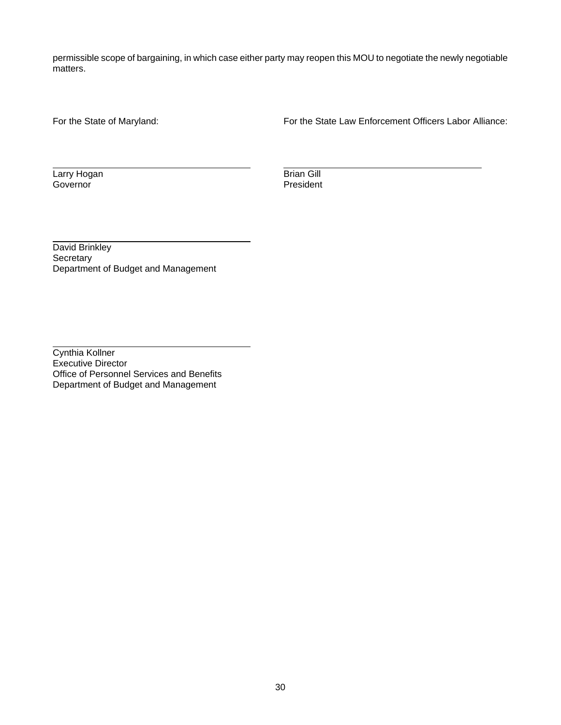permissible scope of bargaining, in which case either party may reopen this MOU to negotiate the newly negotiable matters.

For the State of Maryland: For the State Law Enforcement Officers Labor Alliance:

**Larry Hogan** Brian Gill<br>
Governor President Governor

David Brinkley **Secretary** Department of Budget and Management

Cynthia Kollner Executive Director Office of Personnel Services and Benefits Department of Budget and Management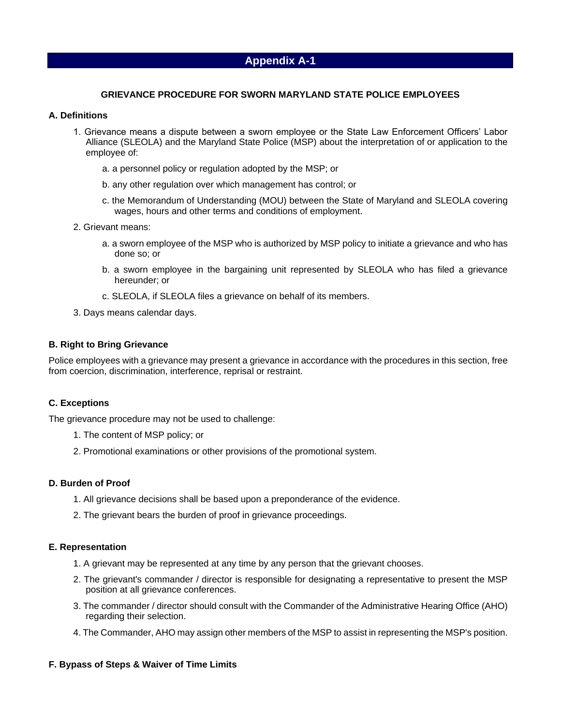## **GRIEVANCE PROCEDURE FOR SWORN MARYLAND STATE POLICE EMPLOYEES**

## **A. Definitions**

- 1. Grievance means a dispute between a sworn employee or the State Law Enforcement Officers' Labor Alliance (SLEOLA) and the Maryland State Police (MSP) about the interpretation of or application to the employee of:
	- a. a personnel policy or regulation adopted by the MSP; or
	- b. any other regulation over which management has control; or
	- c. the Memorandum of Understanding (MOU) between the State of Maryland and SLEOLA covering wages, hours and other terms and conditions of employment.
- 2. Grievant means:
	- a. a sworn employee of the MSP who is authorized by MSP policy to initiate a grievance and who has done so; or
	- b. a sworn employee in the bargaining unit represented by SLEOLA who has filed a grievance hereunder; or
	- c. SLEOLA, if SLEOLA files a grievance on behalf of its members.
- 3. Days means calendar days.

## **B. Right to Bring Grievance**

Police employees with a grievance may present a grievance in accordance with the procedures in this section, free from coercion, discrimination, interference, reprisal or restraint.

## **C. Exceptions**

The grievance procedure may not be used to challenge:

- 1. The content of MSP policy; or
- 2. Promotional examinations or other provisions of the promotional system.

## **D. Burden of Proof**

- 1. All grievance decisions shall be based upon a preponderance of the evidence.
- 2. The grievant bears the burden of proof in grievance proceedings.

#### **E. Representation**

- 1. A grievant may be represented at any time by any person that the grievant chooses.
- 2. The grievant's commander / director is responsible for designating a representative to present the MSP position at all grievance conferences.
- 3. The commander / director should consult with the Commander of the Administrative Hearing Office (AHO) regarding their selection.
- 4. The Commander, AHO may assign other members of the MSP to assist in representing the MSP's position.

## **F. Bypass of Steps & Waiver of Time Limits**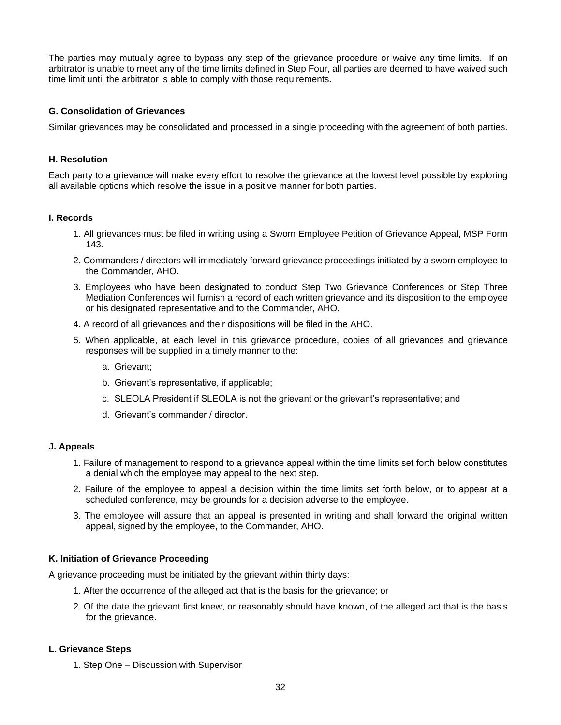The parties may mutually agree to bypass any step of the grievance procedure or waive any time limits. If an arbitrator is unable to meet any of the time limits defined in Step Four, all parties are deemed to have waived such time limit until the arbitrator is able to comply with those requirements.

# **G. Consolidation of Grievances**

Similar grievances may be consolidated and processed in a single proceeding with the agreement of both parties.

# **H. Resolution**

Each party to a grievance will make every effort to resolve the grievance at the lowest level possible by exploring all available options which resolve the issue in a positive manner for both parties.

## **I. Records**

- 1. All grievances must be filed in writing using a Sworn Employee Petition of Grievance Appeal, MSP Form 143.
- 2. Commanders / directors will immediately forward grievance proceedings initiated by a sworn employee to the Commander, AHO.
- 3. Employees who have been designated to conduct Step Two Grievance Conferences or Step Three Mediation Conferences will furnish a record of each written grievance and its disposition to the employee or his designated representative and to the Commander, AHO.
- 4. A record of all grievances and their dispositions will be filed in the AHO.
- 5. When applicable, at each level in this grievance procedure, copies of all grievances and grievance responses will be supplied in a timely manner to the:
	- a. Grievant;
	- b. Grievant's representative, if applicable;
	- c. SLEOLA President if SLEOLA is not the grievant or the grievant's representative; and
	- d. Grievant's commander / director.

## **J. Appeals**

- 1. Failure of management to respond to a grievance appeal within the time limits set forth below constitutes a denial which the employee may appeal to the next step.
- 2. Failure of the employee to appeal a decision within the time limits set forth below, or to appear at a scheduled conference, may be grounds for a decision adverse to the employee.
- 3. The employee will assure that an appeal is presented in writing and shall forward the original written appeal, signed by the employee, to the Commander, AHO.

## **K. Initiation of Grievance Proceeding**

A grievance proceeding must be initiated by the grievant within thirty days:

- 1. After the occurrence of the alleged act that is the basis for the grievance; or
- 2. Of the date the grievant first knew, or reasonably should have known, of the alleged act that is the basis for the grievance.

## **L. Grievance Steps**

1. Step One – Discussion with Supervisor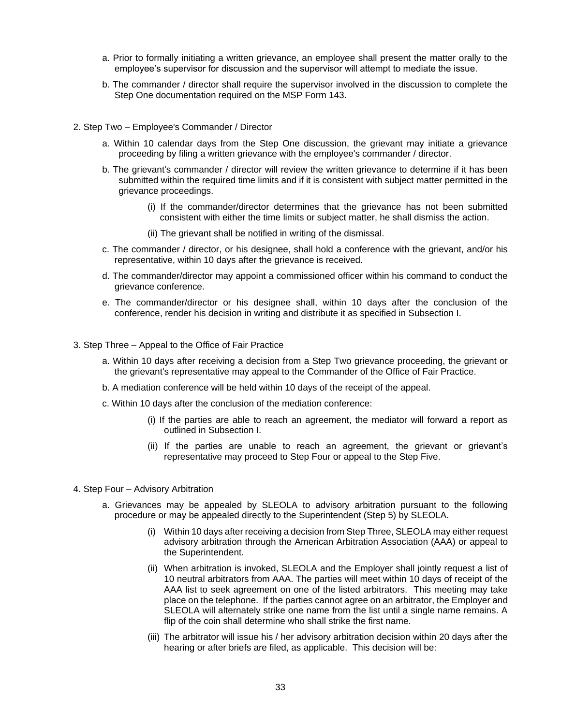- a. Prior to formally initiating a written grievance, an employee shall present the matter orally to the employee's supervisor for discussion and the supervisor will attempt to mediate the issue.
- b. The commander / director shall require the supervisor involved in the discussion to complete the Step One documentation required on the MSP Form 143.
- 2. Step Two Employee's Commander / Director
	- a. Within 10 calendar days from the Step One discussion, the grievant may initiate a grievance proceeding by filing a written grievance with the employee's commander / director.
	- b. The grievant's commander / director will review the written grievance to determine if it has been submitted within the required time limits and if it is consistent with subject matter permitted in the grievance proceedings.
		- (i) If the commander/director determines that the grievance has not been submitted consistent with either the time limits or subject matter, he shall dismiss the action.
		- (ii) The grievant shall be notified in writing of the dismissal.
	- c. The commander / director, or his designee, shall hold a conference with the grievant, and/or his representative, within 10 days after the grievance is received.
	- d. The commander/director may appoint a commissioned officer within his command to conduct the grievance conference.
	- e. The commander/director or his designee shall, within 10 days after the conclusion of the conference, render his decision in writing and distribute it as specified in Subsection I.
- 3. Step Three Appeal to the Office of Fair Practice
	- a. Within 10 days after receiving a decision from a Step Two grievance proceeding, the grievant or the grievant's representative may appeal to the Commander of the Office of Fair Practice.
	- b. A mediation conference will be held within 10 days of the receipt of the appeal.
	- c. Within 10 days after the conclusion of the mediation conference:
		- (i) If the parties are able to reach an agreement, the mediator will forward a report as outlined in Subsection I.
		- (ii) If the parties are unable to reach an agreement, the grievant or grievant's representative may proceed to Step Four or appeal to the Step Five.
- 4. Step Four Advisory Arbitration
	- a. Grievances may be appealed by SLEOLA to advisory arbitration pursuant to the following procedure or may be appealed directly to the Superintendent (Step 5) by SLEOLA.
		- (i) Within 10 days after receiving a decision from Step Three, SLEOLA may either request advisory arbitration through the American Arbitration Association (AAA) or appeal to the Superintendent.
		- (ii) When arbitration is invoked, SLEOLA and the Employer shall jointly request a list of 10 neutral arbitrators from AAA. The parties will meet within 10 days of receipt of the AAA list to seek agreement on one of the listed arbitrators. This meeting may take place on the telephone. If the parties cannot agree on an arbitrator, the Employer and SLEOLA will alternately strike one name from the list until a single name remains. A flip of the coin shall determine who shall strike the first name.
		- (iii) The arbitrator will issue his / her advisory arbitration decision within 20 days after the hearing or after briefs are filed, as applicable. This decision will be: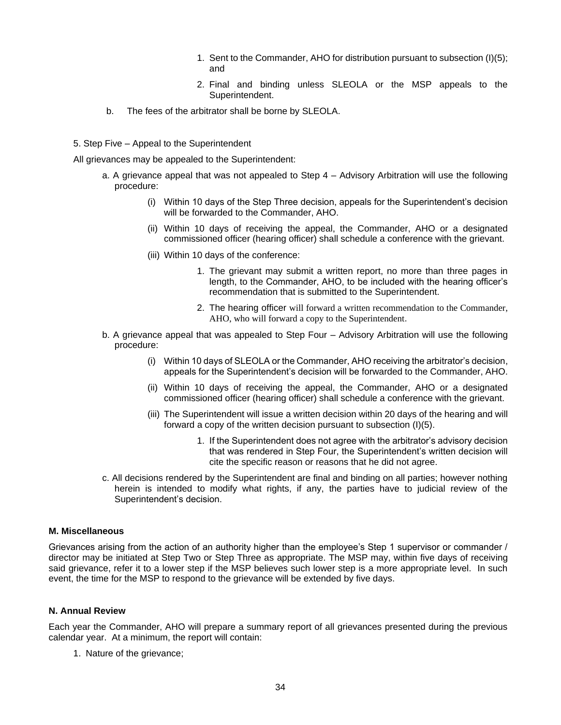- 1. Sent to the Commander, AHO for distribution pursuant to subsection (I)(5); and
- 2. Final and binding unless SLEOLA or the MSP appeals to the Superintendent.
- b. The fees of the arbitrator shall be borne by SLEOLA.
- 5. Step Five Appeal to the Superintendent

All grievances may be appealed to the Superintendent:

- a. A grievance appeal that was not appealed to Step 4 Advisory Arbitration will use the following procedure:
	- (i) Within 10 days of the Step Three decision, appeals for the Superintendent's decision will be forwarded to the Commander, AHO.
	- (ii) Within 10 days of receiving the appeal, the Commander, AHO or a designated commissioned officer (hearing officer) shall schedule a conference with the grievant.
	- (iii) Within 10 days of the conference:
		- 1. The grievant may submit a written report, no more than three pages in length, to the Commander, AHO, to be included with the hearing officer's recommendation that is submitted to the Superintendent.
		- 2. The hearing officer will forward a written recommendation to the Commander, AHO, who will forward a copy to the Superintendent.
- b. A grievance appeal that was appealed to Step Four Advisory Arbitration will use the following procedure:
	- (i) Within 10 days of SLEOLA or the Commander, AHO receiving the arbitrator's decision, appeals for the Superintendent's decision will be forwarded to the Commander, AHO.
	- (ii) Within 10 days of receiving the appeal, the Commander, AHO or a designated commissioned officer (hearing officer) shall schedule a conference with the grievant.
	- (iii) The Superintendent will issue a written decision within 20 days of the hearing and will forward a copy of the written decision pursuant to subsection (I)(5).
		- 1. If the Superintendent does not agree with the arbitrator's advisory decision that was rendered in Step Four, the Superintendent's written decision will cite the specific reason or reasons that he did not agree.
- c. All decisions rendered by the Superintendent are final and binding on all parties; however nothing herein is intended to modify what rights, if any, the parties have to judicial review of the Superintendent's decision.

## **M. Miscellaneous**

Grievances arising from the action of an authority higher than the employee's Step 1 supervisor or commander / director may be initiated at Step Two or Step Three as appropriate. The MSP may, within five days of receiving said grievance, refer it to a lower step if the MSP believes such lower step is a more appropriate level. In such event, the time for the MSP to respond to the grievance will be extended by five days.

#### **N. Annual Review**

Each year the Commander, AHO will prepare a summary report of all grievances presented during the previous calendar year. At a minimum, the report will contain:

1. Nature of the grievance;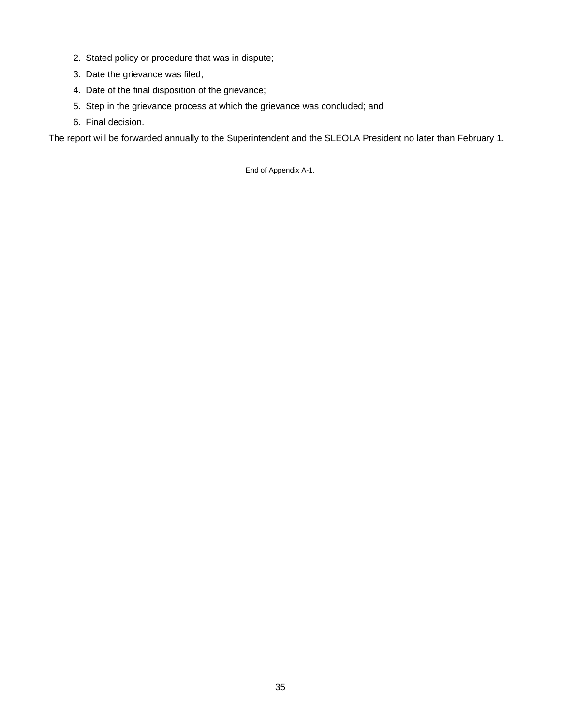- 2. Stated policy or procedure that was in dispute;
- 3. Date the grievance was filed;
- 4. Date of the final disposition of the grievance;
- 5. Step in the grievance process at which the grievance was concluded; and
- 6. Final decision.

The report will be forwarded annually to the Superintendent and the SLEOLA President no later than February 1.

End of Appendix A-1.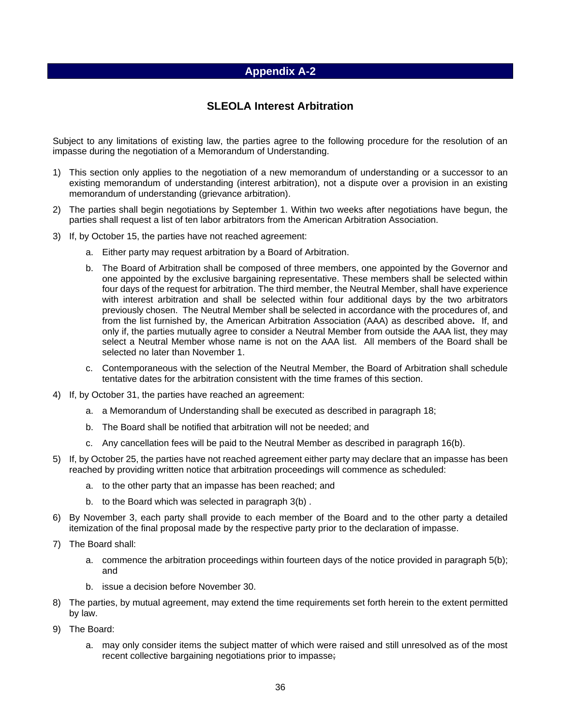# **SLEOLA Interest Arbitration**

Subject to any limitations of existing law, the parties agree to the following procedure for the resolution of an impasse during the negotiation of a Memorandum of Understanding.

- 1) This section only applies to the negotiation of a new memorandum of understanding or a successor to an existing memorandum of understanding (interest arbitration), not a dispute over a provision in an existing memorandum of understanding (grievance arbitration).
- 2) The parties shall begin negotiations by September 1. Within two weeks after negotiations have begun, the parties shall request a list of ten labor arbitrators from the American Arbitration Association.
- 3) If, by October 15, the parties have not reached agreement:
	- a. Either party may request arbitration by a Board of Arbitration.
	- b. The Board of Arbitration shall be composed of three members, one appointed by the Governor and one appointed by the exclusive bargaining representative. These members shall be selected within four days of the request for arbitration. The third member, the Neutral Member, shall have experience with interest arbitration and shall be selected within four additional days by the two arbitrators previously chosen. The Neutral Member shall be selected in accordance with the procedures of, and from the list furnished by, the American Arbitration Association (AAA) as described above*.* If, and only if, the parties mutually agree to consider a Neutral Member from outside the AAA list, they may select a Neutral Member whose name is not on the AAA list. All members of the Board shall be selected no later than November 1.
	- c. Contemporaneous with the selection of the Neutral Member, the Board of Arbitration shall schedule tentative dates for the arbitration consistent with the time frames of this section.
- 4) If, by October 31, the parties have reached an agreement:
	- a. a Memorandum of Understanding shall be executed as described in paragraph 18;
	- b. The Board shall be notified that arbitration will not be needed; and
	- c. Any cancellation fees will be paid to the Neutral Member as described in paragraph 16(b).
- 5) If, by October 25, the parties have not reached agreement either party may declare that an impasse has been reached by providing written notice that arbitration proceedings will commence as scheduled:
	- a. to the other party that an impasse has been reached; and
	- b. to the Board which was selected in paragraph 3(b) .
- 6) By November 3, each party shall provide to each member of the Board and to the other party a detailed itemization of the final proposal made by the respective party prior to the declaration of impasse.
- 7) The Board shall:
	- a. commence the arbitration proceedings within fourteen days of the notice provided in paragraph 5(b); and
	- b. issue a decision before November 30.
- 8) The parties, by mutual agreement, may extend the time requirements set forth herein to the extent permitted by law.
- 9) The Board:
	- a. may only consider items the subject matter of which were raised and still unresolved as of the most recent collective bargaining negotiations prior to impasse;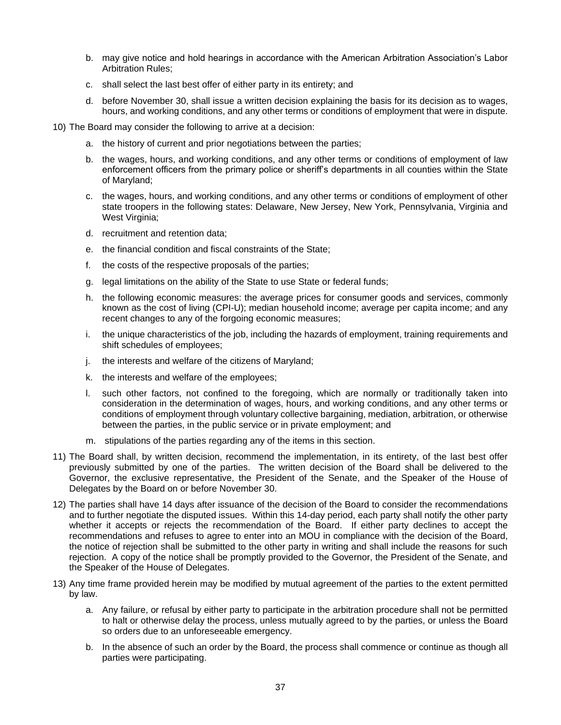- b. may give notice and hold hearings in accordance with the American Arbitration Association's Labor Arbitration Rules;
- c. shall select the last best offer of either party in its entirety; and
- d. before November 30, shall issue a written decision explaining the basis for its decision as to wages, hours, and working conditions, and any other terms or conditions of employment that were in dispute.
- 10) The Board may consider the following to arrive at a decision:
	- a. the history of current and prior negotiations between the parties;
	- b. the wages, hours, and working conditions, and any other terms or conditions of employment of law enforcement officers from the primary police or sheriff's departments in all counties within the State of Maryland;
	- c. the wages, hours, and working conditions, and any other terms or conditions of employment of other state troopers in the following states: Delaware, New Jersey, New York, Pennsylvania, Virginia and West Virginia;
	- d. recruitment and retention data;
	- e. the financial condition and fiscal constraints of the State;
	- f. the costs of the respective proposals of the parties;
	- g. legal limitations on the ability of the State to use State or federal funds;
	- h. the following economic measures: the average prices for consumer goods and services, commonly known as the cost of living (CPI-U); median household income; average per capita income; and any recent changes to any of the forgoing economic measures;
	- i. the unique characteristics of the job, including the hazards of employment, training requirements and shift schedules of employees;
	- j. the interests and welfare of the citizens of Maryland;
	- k. the interests and welfare of the employees;
	- l. such other factors, not confined to the foregoing, which are normally or traditionally taken into consideration in the determination of wages, hours, and working conditions, and any other terms or conditions of employment through voluntary collective bargaining, mediation, arbitration, or otherwise between the parties, in the public service or in private employment; and
	- m. stipulations of the parties regarding any of the items in this section.
- 11) The Board shall, by written decision, recommend the implementation, in its entirety, of the last best offer previously submitted by one of the parties. The written decision of the Board shall be delivered to the Governor, the exclusive representative, the President of the Senate, and the Speaker of the House of Delegates by the Board on or before November 30.
- 12) The parties shall have 14 days after issuance of the decision of the Board to consider the recommendations and to further negotiate the disputed issues. Within this 14-day period, each party shall notify the other party whether it accepts or rejects the recommendation of the Board. If either party declines to accept the recommendations and refuses to agree to enter into an MOU in compliance with the decision of the Board, the notice of rejection shall be submitted to the other party in writing and shall include the reasons for such rejection. A copy of the notice shall be promptly provided to the Governor, the President of the Senate, and the Speaker of the House of Delegates.
- 13) Any time frame provided herein may be modified by mutual agreement of the parties to the extent permitted by law.
	- a. Any failure, or refusal by either party to participate in the arbitration procedure shall not be permitted to halt or otherwise delay the process, unless mutually agreed to by the parties, or unless the Board so orders due to an unforeseeable emergency.
	- b. In the absence of such an order by the Board, the process shall commence or continue as though all parties were participating.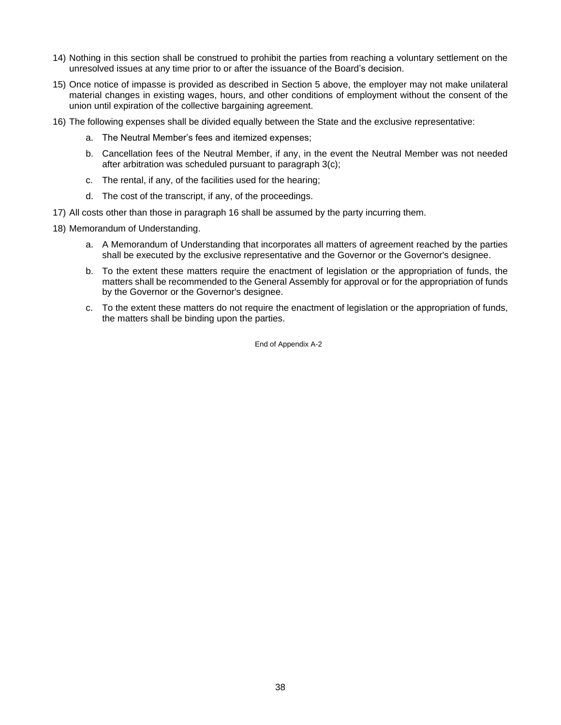- 14) Nothing in this section shall be construed to prohibit the parties from reaching a voluntary settlement on the unresolved issues at any time prior to or after the issuance of the Board's decision.
- 15) Once notice of impasse is provided as described in Section 5 above, the employer may not make unilateral material changes in existing wages, hours, and other conditions of employment without the consent of the union until expiration of the collective bargaining agreement.
- 16) The following expenses shall be divided equally between the State and the exclusive representative:
	- a. The Neutral Member's fees and itemized expenses;
	- b. Cancellation fees of the Neutral Member, if any, in the event the Neutral Member was not needed after arbitration was scheduled pursuant to paragraph 3(c);
	- c. The rental, if any, of the facilities used for the hearing;
	- d. The cost of the transcript, if any, of the proceedings.
- 17) All costs other than those in paragraph 16 shall be assumed by the party incurring them.
- 18) Memorandum of Understanding.
	- a. A Memorandum of Understanding that incorporates all matters of agreement reached by the parties shall be executed by the exclusive representative and the Governor or the Governor's designee.
	- b. To the extent these matters require the enactment of legislation or the appropriation of funds, the matters shall be recommended to the General Assembly for approval or for the appropriation of funds by the Governor or the Governor's designee.
	- c. To the extent these matters do not require the enactment of legislation or the appropriation of funds, the matters shall be binding upon the parties.

End of Appendix A-2